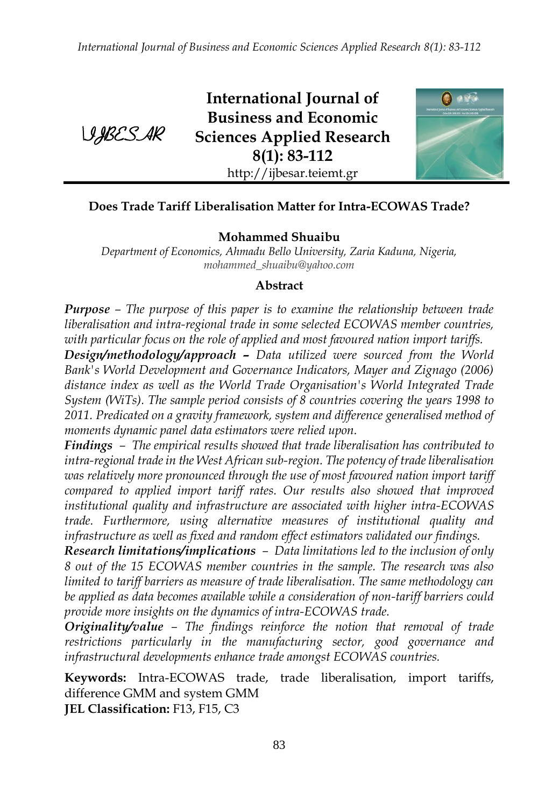

**International Journal of Business and Economic Sciences Applied Research 8(1): 83-112** http://ijbesar.teiemt.gr



### **Does Trade Tariff Liberalisation Matter for Intra-ECOWAS Trade?**

#### **Mohammed Shuaibu**

*Department of Economics, Ahmadu Bello University, Zaria Kaduna, Nigeria, [mohammed\\_shuaibu@yahoo.com](mailto:mohammed_shuaibu@yahoo.com)*

#### **Abstract**

*Purpose – The purpose of this paper is to examine the relationship between trade liberalisation and intra-regional trade in some selected ECOWAS member countries, with particular focus on the role of applied and most favoured nation import tariffs.* 

*Design/methodology/approach – Data utilized were sourced from the World Bank's World Development and Governance Indicators, Mayer and Zignago (2006) distance index as well as the World Trade Organisation's World Integrated Trade System (WiTs). The sample period consists of 8 countries covering the years 1998 to 2011. Predicated on a gravity framework, system and difference generalised method of moments dynamic panel data estimators were relied upon.* 

*Findings – The empirical results showed that trade liberalisation has contributed to intra-regional trade in the West African sub-region. The potency of trade liberalisation was relatively more pronounced through the use of most favoured nation import tariff compared to applied import tariff rates. Our results also showed that improved institutional quality and infrastructure are associated with higher intra-ECOWAS trade. Furthermore, using alternative measures of institutional quality and infrastructure as well as fixed and random effect estimators validated our findings.*

*Research limitations/implications – Data limitations led to the inclusion of only 8 out of the 15 ECOWAS member countries in the sample. The research was also limited to tariff barriers as measure of trade liberalisation. The same methodology can be applied as data becomes available while a consideration of non-tariff barriers could provide more insights on the dynamics of intra-ECOWAS trade.*

*Originality/value – The findings reinforce the notion that removal of trade restrictions particularly in the manufacturing sector, good governance and infrastructural developments enhance trade amongst ECOWAS countries.*

**Keywords:** Intra-ECOWAS trade, trade liberalisation, import tariffs, difference GMM and system GMM **JEL Classification:** F13, F15, C3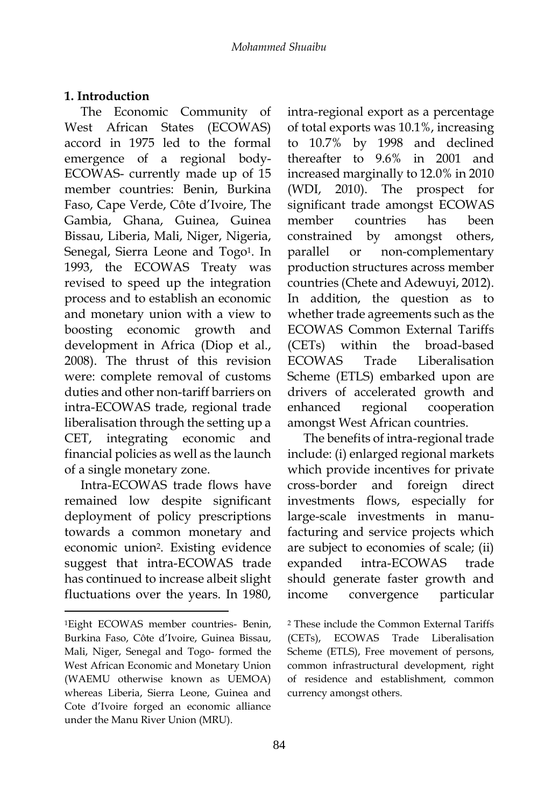### **1. Introduction**

The Economic Community of West African States (ECOWAS) accord in 1975 led to the formal emergence of a regional body-ECOWAS- currently made up of 15 member countries: Benin, Burkina Faso, Cape Verde, Côte d'Ivoire, The Gambia, Ghana, Guinea, Guinea Bissau, Liberia, Mali, Niger, Nigeria, Senegal, Sierra Leone and Togo<sup>1</sup>. In 1993, the ECOWAS Treaty was revised to speed up the integration process and to establish an economic and monetary union with a view to boosting economic growth and development in Africa (Diop et al., 2008). The thrust of this revision were: complete removal of customs duties and other non-tariff barriers on intra-ECOWAS trade, regional trade liberalisation through the setting up a CET, integrating economic and financial policies as well as the launch of a single monetary zone.

Intra-ECOWAS trade flows have remained low despite significant deployment of policy prescriptions towards a common monetary and economic union2. Existing evidence suggest that intra-ECOWAS trade has continued to increase albeit slight fluctuations over the years. In 1980,

-

intra-regional export as a percentage of total exports was 10.1%, increasing to 10.7% by 1998 and declined thereafter to 9.6% in 2001 and increased marginally to 12.0% in 2010 (WDI, 2010). The prospect for significant trade amongst ECOWAS member countries has been constrained by amongst others, parallel or non-complementary production structures across member countries (Chete and Adewuyi, 2012). In addition, the question as to whether trade agreements such as the ECOWAS Common External Tariffs (CETs) within the broad-based ECOWAS Trade Liberalisation Scheme (ETLS) embarked upon are drivers of accelerated growth and enhanced regional cooperation amongst West African countries.

The benefits of intra-regional trade include: (i) enlarged regional markets which provide incentives for private cross-border and foreign direct investments flows, especially for large-scale investments in manufacturing and service projects which are subject to economies of scale; (ii) expanded intra-ECOWAS trade should generate faster growth and income convergence particular

<sup>1</sup>Eight ECOWAS member countries- Benin, Burkina Faso, Côte d'Ivoire, Guinea Bissau, Mali, Niger, Senegal and Togo- formed the West African Economic and Monetary Union (WAEMU otherwise known as UEMOA) whereas Liberia, Sierra Leone, Guinea and Cote d'Ivoire forged an economic alliance under the Manu River Union (MRU).

<sup>2</sup> These include the Common External Tariffs (CETs), ECOWAS Trade Liberalisation Scheme (ETLS), Free movement of persons, common infrastructural development, right of residence and establishment, common currency amongst others.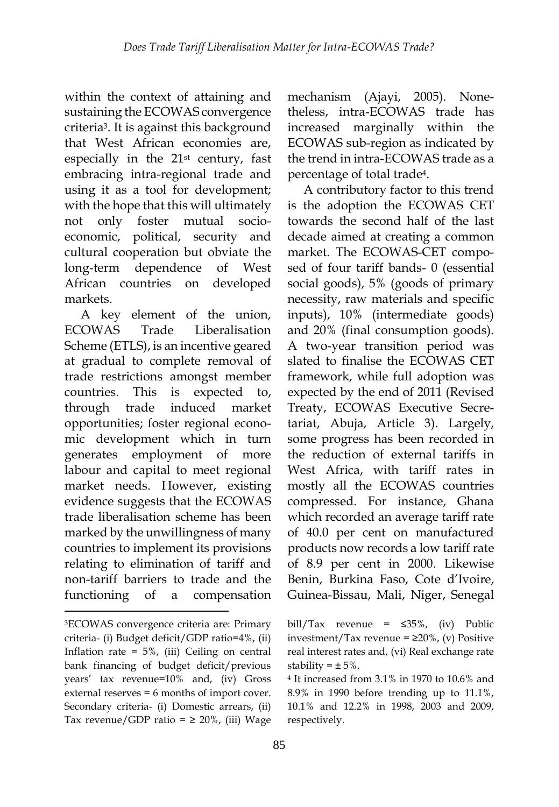within the context of attaining and sustaining the ECOWAS convergence criteria3. It is against this background that West African economies are, especially in the 21st century, fast embracing intra-regional trade and using it as a tool for development; with the hope that this will ultimately not only foster mutual socioeconomic, political, security and cultural cooperation but obviate the long-term dependence of West African countries on developed markets.

A key element of the union, ECOWAS Trade Liberalisation Scheme (ETLS), is an incentive geared at gradual to complete removal of trade restrictions amongst member countries. This is expected to, through trade induced market opportunities; foster regional economic development which in turn generates employment of more labour and capital to meet regional market needs. However, existing evidence suggests that the ECOWAS trade liberalisation scheme has been marked by the unwillingness of many countries to implement its provisions relating to elimination of tariff and non-tariff barriers to trade and the functioning of a compensation

-

mechanism (Ajayi, 2005). Nonetheless, intra-ECOWAS trade has increased marginally within the ECOWAS sub-region as indicated by the trend in intra-ECOWAS trade as a percentage of total trade4.

A contributory factor to this trend is the adoption the ECOWAS CET towards the second half of the last decade aimed at creating a common market. The ECOWAS-CET composed of four tariff bands- 0 (essential social goods), 5% (goods of primary necessity, raw materials and specific inputs), 10% (intermediate goods) and 20% (final consumption goods). A two-year transition period was slated to finalise the ECOWAS CET framework, while full adoption was expected by the end of 2011 (Revised Treaty, ECOWAS Executive Secretariat, Abuja, Article 3). Largely, some progress has been recorded in the reduction of external tariffs in West Africa, with tariff rates in mostly all the ECOWAS countries compressed. For instance, Ghana which recorded an average tariff rate of 40.0 per cent on manufactured products now records a low tariff rate of 8.9 per cent in 2000. Likewise Benin, Burkina Faso, Cote d'Ivoire, Guinea-Bissau, Mali, Niger, Senegal

<sup>3</sup>ECOWAS convergence criteria are: Primary criteria- (i) Budget deficit/GDP ratio=4%, (ii) Inflation rate =  $5\%$ , (iii) Ceiling on central bank financing of budget deficit/previous years' tax revenue=10% and, (iv) Gross external reserves = 6 months of import cover. Secondary criteria- (i) Domestic arrears, (ii) Tax revenue/GDP ratio =  $\geq$  20%, (iii) Wage

bill/Tax revenue =  $\leq 35\%$ , (iv) Public investment/Tax revenue =  $\geq$ 20%, (v) Positive real interest rates and, (vi) Real exchange rate stability =  $\pm$  5%.

<sup>4</sup> It increased from 3.1% in 1970 to 10.6% and 8.9% in 1990 before trending up to 11.1%, 10.1% and 12.2% in 1998, 2003 and 2009, respectively.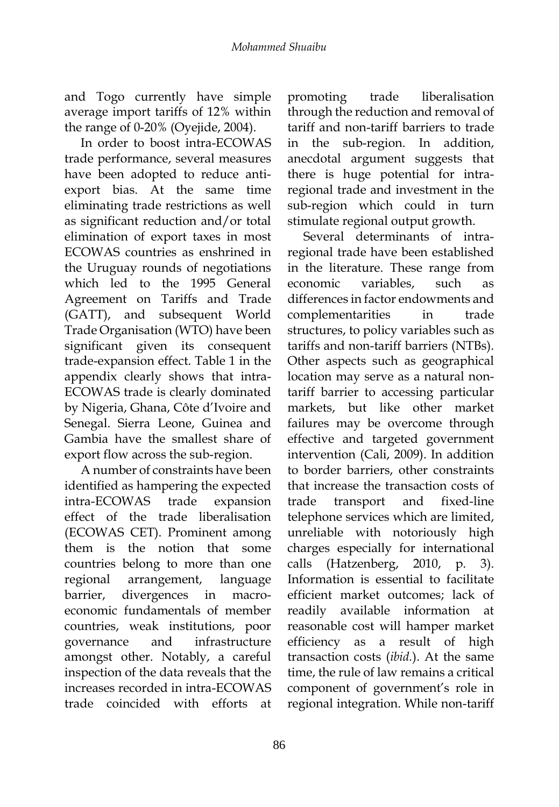and Togo currently have simple average import tariffs of 12% within the range of 0-20% (Oyejide, 2004).

In order to boost intra-ECOWAS trade performance, several measures have been adopted to reduce antiexport bias. At the same time eliminating trade restrictions as well as significant reduction and/or total elimination of export taxes in most ECOWAS countries as enshrined in the Uruguay rounds of negotiations which led to the 1995 General Agreement on Tariffs and Trade (GATT), and subsequent World Trade Organisation (WTO) have been significant given its consequent trade-expansion effect. Table 1 in the appendix clearly shows that intra-ECOWAS trade is clearly dominated by Nigeria, Ghana, Côte d'Ivoire and Senegal. Sierra Leone, Guinea and Gambia have the smallest share of export flow across the sub-region.

A number of constraints have been identified as hampering the expected intra-ECOWAS trade expansion effect of the trade liberalisation (ECOWAS CET). Prominent among them is the notion that some countries belong to more than one regional arrangement, language barrier, divergences in macroeconomic fundamentals of member countries, weak institutions, poor governance and infrastructure amongst other. Notably, a careful inspection of the data reveals that the increases recorded in intra-ECOWAS trade coincided with efforts at

promoting trade liberalisation through the reduction and removal of tariff and non-tariff barriers to trade in the sub-region. In addition, anecdotal argument suggests that there is huge potential for intraregional trade and investment in the sub-region which could in turn stimulate regional output growth.

Several determinants of intraregional trade have been established in the literature. These range from economic variables, such as differences in factor endowments and complementarities in trade structures, to policy variables such as tariffs and non-tariff barriers (NTBs). Other aspects such as geographical location may serve as a natural nontariff barrier to accessing particular markets, but like other market failures may be overcome through effective and targeted government intervention (Cali, 2009). In addition to border barriers, other constraints that increase the transaction costs of trade transport and fixed-line telephone services which are limited, unreliable with notoriously high charges especially for international calls (Hatzenberg, 2010, p. 3). Information is essential to facilitate efficient market outcomes; lack of readily available information at reasonable cost will hamper market efficiency as a result of high transaction costs (*ibid.*). At the same time, the rule of law remains a critical component of government's role in regional integration. While non-tariff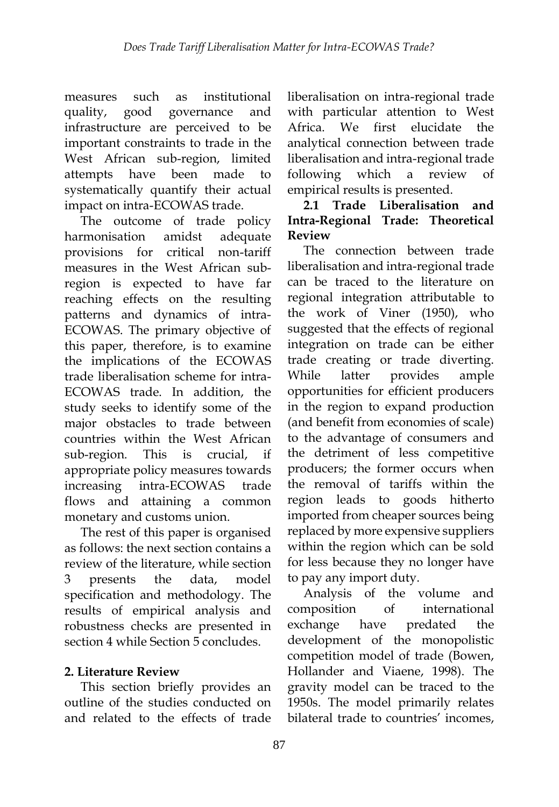measures such as institutional quality, good governance and infrastructure are perceived to be important constraints to trade in the West African sub-region, limited attempts have been made to systematically quantify their actual impact on intra-ECOWAS trade.

The outcome of trade policy harmonisation amidst adequate provisions for critical non-tariff measures in the West African subregion is expected to have far reaching effects on the resulting patterns and dynamics of intra-ECOWAS. The primary objective of this paper, therefore, is to examine the implications of the ECOWAS trade liberalisation scheme for intra-ECOWAS trade. In addition, the study seeks to identify some of the major obstacles to trade between countries within the West African sub-region. This is crucial, appropriate policy measures towards increasing intra-ECOWAS trade flows and attaining a common monetary and customs union.

The rest of this paper is organised as follows: the next section contains a review of the literature, while section 3 presents the data, model specification and methodology. The results of empirical analysis and robustness checks are presented in section 4 while Section 5 concludes.

# **2. Literature Review**

This section briefly provides an outline of the studies conducted on and related to the effects of trade

liberalisation on intra-regional trade with particular attention to West Africa. We first elucidate the analytical connection between trade liberalisation and intra-regional trade following which a review of empirical results is presented.

# **2.1 Trade Liberalisation and Intra-Regional Trade: Theoretical Review**

The connection between trade liberalisation and intra-regional trade can be traced to the literature on regional integration attributable to the work of Viner (1950), who suggested that the effects of regional integration on trade can be either trade creating or trade diverting. While latter provides ample opportunities for efficient producers in the region to expand production (and benefit from economies of scale) to the advantage of consumers and the detriment of less competitive producers; the former occurs when the removal of tariffs within the region leads to goods hitherto imported from cheaper sources being replaced by more expensive suppliers within the region which can be sold for less because they no longer have to pay any import duty.

Analysis of the volume and composition of international exchange have predated the development of the monopolistic competition model of trade (Bowen, Hollander and Viaene, 1998). The gravity model can be traced to the 1950s. The model primarily relates bilateral trade to countries' incomes,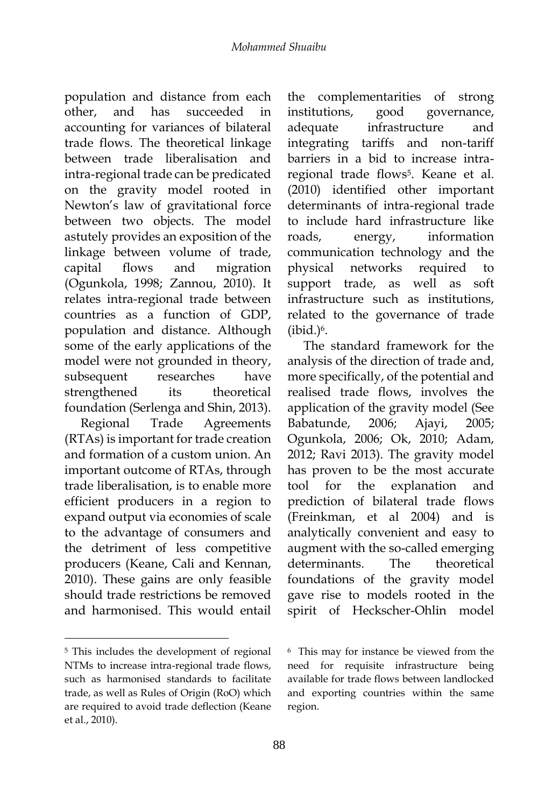population and distance from each other, and has succeeded in accounting for variances of bilateral trade flows. The theoretical linkage between trade liberalisation and intra-regional trade can be predicated on the gravity model rooted in Newton's law of gravitational force between two objects. The model astutely provides an exposition of the linkage between volume of trade, capital flows and migration (Ogunkola, 1998; Zannou, 2010). It relates intra-regional trade between countries as a function of GDP, population and distance. Although some of the early applications of the model were not grounded in theory, subsequent researches have strengthened its theoretical foundation (Serlenga and Shin, 2013).

Regional Trade Agreements (RTAs) is important for trade creation and formation of a custom union. An important outcome of RTAs, through trade liberalisation, is to enable more efficient producers in a region to expand output via economies of scale to the advantage of consumers and the detriment of less competitive producers (Keane, Cali and Kennan, 2010). These gains are only feasible should trade restrictions be removed and harmonised. This would entail

1

the complementarities of strong institutions, good governance, adequate infrastructure and integrating tariffs and non-tariff barriers in a bid to increase intraregional trade flows<sup>5</sup>. Keane et al. (2010) identified other important determinants of intra-regional trade to include hard infrastructure like roads, energy, information communication technology and the physical networks required to support trade, as well as soft infrastructure such as institutions, related to the governance of trade  $(ibid.)<sup>6</sup>$ .

The standard framework for the analysis of the direction of trade and, more specifically, of the potential and realised trade flows, involves the application of the gravity model (See Babatunde, 2006; Ajayi, 2005; Ogunkola, 2006; Ok, 2010; Adam, 2012; Ravi 2013). The gravity model has proven to be the most accurate tool for the explanation and prediction of bilateral trade flows (Freinkman, et al 2004) and is analytically convenient and easy to augment with the so-called emerging determinants. The theoretical foundations of the gravity model gave rise to models rooted in the spirit of Heckscher-Ohlin model

<sup>5</sup> This includes the development of regional NTMs to increase intra-regional trade flows, such as harmonised standards to facilitate trade, as well as Rules of Origin (RoO) which are required to avoid trade deflection (Keane et al., 2010).

<sup>6</sup> This may for instance be viewed from the need for requisite infrastructure being available for trade flows between landlocked and exporting countries within the same region.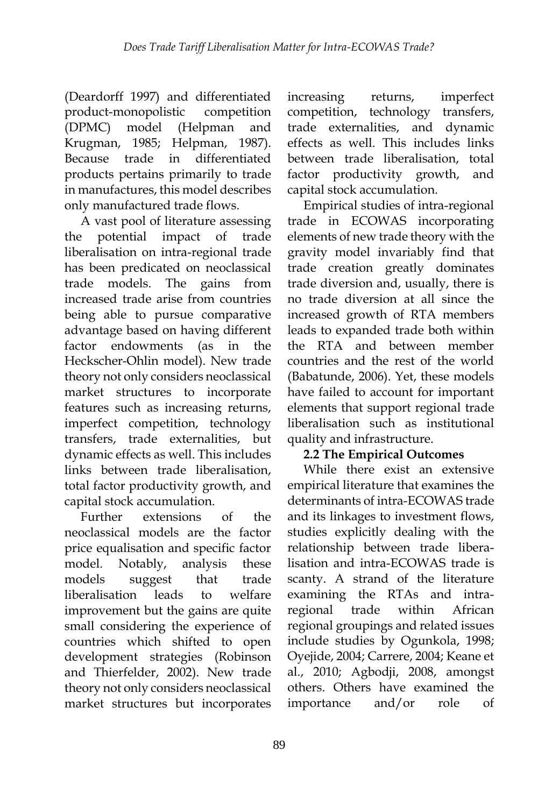(Deardorff 1997) and differentiated product-monopolistic competition (DPMC) model (Helpman and Krugman, 1985; Helpman, 1987). Because trade in differentiated products pertains primarily to trade in manufactures, this model describes only manufactured trade flows.

A vast pool of literature assessing the potential impact of trade liberalisation on intra-regional trade has been predicated on neoclassical trade models. The gains from increased trade arise from countries being able to pursue comparative advantage based on having different factor endowments (as in the Heckscher-Ohlin model). New trade theory not only considers neoclassical market structures to incorporate features such as increasing returns, imperfect competition, technology transfers, trade externalities, but dynamic effects as well. This includes links between trade liberalisation, total factor productivity growth, and capital stock accumulation.

Further extensions of the neoclassical models are the factor price equalisation and specific factor model. Notably, analysis these models suggest that trade liberalisation leads to welfare improvement but the gains are quite small considering the experience of countries which shifted to open development strategies (Robinson and Thierfelder, 2002). New trade theory not only considers neoclassical market structures but incorporates

increasing returns, imperfect competition, technology transfers, trade externalities, and dynamic effects as well. This includes links between trade liberalisation, total factor productivity growth, and capital stock accumulation.

Empirical studies of intra-regional trade in ECOWAS incorporating elements of new trade theory with the gravity model invariably find that trade creation greatly dominates trade diversion and, usually, there is no trade diversion at all since the increased growth of RTA members leads to expanded trade both within the RTA and between member countries and the rest of the world (Babatunde, 2006). Yet, these models have failed to account for important elements that support regional trade liberalisation such as institutional quality and infrastructure.

### **2.2 The Empirical Outcomes**

While there exist an extensive empirical literature that examines the determinants of intra-ECOWAS trade and its linkages to investment flows, studies explicitly dealing with the relationship between trade liberalisation and intra-ECOWAS trade is scanty. A strand of the literature examining the RTAs and intraregional trade within African regional groupings and related issues include studies by Ogunkola, 1998; Oyejide, 2004; Carrere, 2004; Keane et al., 2010; Agbodji, 2008, amongst others. Others have examined the importance and/or role of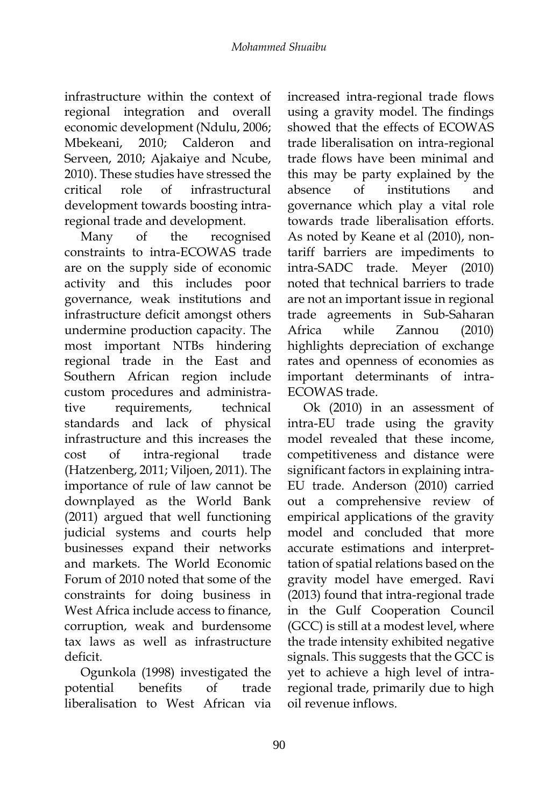infrastructure within the context of regional integration and overall economic development (Ndulu, 2006; Mbekeani, 2010; Calderon and Serveen, 2010; Ajakaiye and Ncube, 2010). These studies have stressed the critical role of infrastructural development towards boosting intraregional trade and development.

Many of the recognised constraints to intra-ECOWAS trade are on the supply side of economic activity and this includes poor governance, weak institutions and infrastructure deficit amongst others undermine production capacity. The most important NTBs hindering regional trade in the East and Southern African region include custom procedures and administrative requirements, technical standards and lack of physical infrastructure and this increases the cost of intra-regional trade (Hatzenberg, 2011; Viljoen, 2011). The importance of rule of law cannot be downplayed as the World Bank (2011) argued that well functioning judicial systems and courts help businesses expand their networks and markets. The World Economic Forum of 2010 noted that some of the constraints for doing business in West Africa include access to finance, corruption, weak and burdensome tax laws as well as infrastructure deficit.

Ogunkola (1998) investigated the potential benefits of trade liberalisation to West African via increased intra-regional trade flows using a gravity model. The findings showed that the effects of ECOWAS trade liberalisation on intra-regional trade flows have been minimal and this may be party explained by the absence of institutions and governance which play a vital role towards trade liberalisation efforts. As noted by Keane et al (2010), nontariff barriers are impediments to intra-SADC trade. Meyer (2010) noted that technical barriers to trade are not an important issue in regional trade agreements in Sub-Saharan Africa while Zannou (2010) highlights depreciation of exchange rates and openness of economies as important determinants of intra-ECOWAS trade.

Ok (2010) in an assessment of intra-EU trade using the gravity model revealed that these income, competitiveness and distance were significant factors in explaining intra-EU trade. Anderson (2010) carried out a comprehensive review of empirical applications of the gravity model and concluded that more accurate estimations and interprettation of spatial relations based on the gravity model have emerged. Ravi (2013) found that intra-regional trade in the Gulf Cooperation Council (GCC) is still at a modest level, where the trade intensity exhibited negative signals. This suggests that the GCC is yet to achieve a high level of intraregional trade, primarily due to high oil revenue inflows.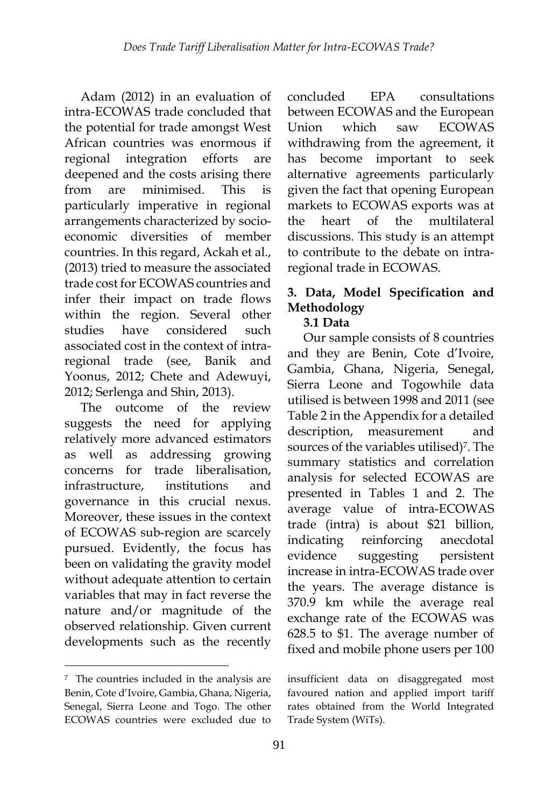Adam (2012) in an evaluation of intra-ECOWAS trade concluded that the potential for trade amongst West African countries was enormous if regional integration efforts are deepened and the costs arising there from are minimised. This is particularly imperative in regional arrangements characterized by socioeconomic diversities of member countries. In this regard, Ackah et al., (2013) tried to measure the associated trade cost for ECOWAS countries and infer their impact on trade flows within the region. Several other studies have considered such associated cost in the context of intraregional trade (see, Banik and Yoonus, 2012; Chete and Adewuyi, 2012; Serlenga and Shin, 2013).

The outcome of the review suggests the need for applying relatively more advanced estimators as well as addressing growing concerns for trade liberalisation, infrastructure, institutions and governance in this crucial nexus. Moreover, these issues in the context of ECOWAS sub-region are scarcely pursued. Evidently, the focus has been on validating the gravity model without adequate attention to certain variables that may in fact reverse the nature and/or magnitude of the observed relationship. Given current developments such as the recently

-

concluded EPA consultations between ECOWAS and the European Union which saw ECOWAS withdrawing from the agreement, it has become important to seek alternative agreements particularly given the fact that opening European markets to ECOWAS exports was at the heart of the multilateral discussions. This study is an attempt to contribute to the debate on intraregional trade in ECOWAS.

# **3. Data, Model Specification and Methodology**

### **3.1 Data**

Our sample consists of 8 countries and they are Benin, Cote d'Ivoire, Gambia, Ghana, Nigeria, Senegal, Sierra Leone and Togowhile data utilised is between 1998 and 2011 (see Table 2 in the Appendix for a detailed description, measurement and sources of the variables utilised)<sup>7</sup>. The summary statistics and correlation analysis for selected ECOWAS are presented in Tables 1 and 2. The average value of intra-ECOWAS trade (intra) is about \$21 billion, indicating reinforcing anecdotal evidence suggesting persistent increase in intra-ECOWAS trade over the years. The average distance is 370.9 km while the average real exchange rate of the ECOWAS was 628.5 to \$1. The average number of fixed and mobile phone users per 100

<sup>7</sup> The countries included in the analysis are Benin, Cote d'Ivoire, Gambia, Ghana, Nigeria, Senegal, Sierra Leone and Togo. The other ECOWAS countries were excluded due to

insufficient data on disaggregated most favoured nation and applied import tariff rates obtained from the World Integrated Trade System (WiTs).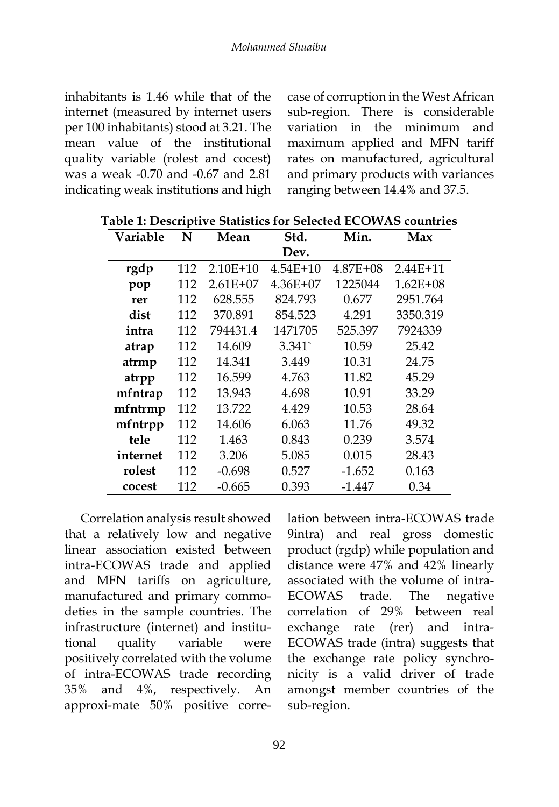inhabitants is 1.46 while that of the internet (measured by internet users per 100 inhabitants) stood at 3.21. The mean value of the institutional quality variable (rolest and cocest) was a weak -0.70 and -0.67 and 2.81 indicating weak institutions and high case of corruption in the West African sub-region. There is considerable variation in the minimum and maximum applied and MFN tariff rates on manufactured, agricultural and primary products with variances ranging between 14.4% and 37.5.

| Variable | N   | Mean       | Std.         | Min.     | Max          |
|----------|-----|------------|--------------|----------|--------------|
|          |     |            | Dev.         |          |              |
| rgdp     | 112 | $2.10E+10$ | $4.54E + 10$ | 4.87E+08 | $2.44E+11$   |
| pop      | 112 | $2.61E+07$ | $4.36E + 07$ | 1225044  | $1.62E + 08$ |
| rer      | 112 | 628.555    | 824.793      | 0.677    | 2951.764     |
| dist     | 112 | 370.891    | 854.523      | 4.291    | 3350.319     |
| intra    | 112 | 794431.4   | 1471705      | 525.397  | 7924339      |
| atrap    | 112 | 14.609     | 3.341        | 10.59    | 25.42        |
| atrmp    | 112 | 14.341     | 3.449        | 10.31    | 24.75        |
| atrpp    | 112 | 16.599     | 4.763        | 11.82    | 45.29        |
| mfntrap  | 112 | 13.943     | 4.698        | 10.91    | 33.29        |
| mfntrmp  | 112 | 13.722     | 4.429        | 10.53    | 28.64        |
| mfntrpp  | 112 | 14.606     | 6.063        | 11.76    | 49.32        |
| tele     | 112 | 1.463      | 0.843        | 0.239    | 3.574        |
| internet | 112 | 3.206      | 5.085        | 0.015    | 28.43        |
| rolest   | 112 | $-0.698$   | 0.527        | $-1.652$ | 0.163        |
| cocest   | 112 | $-0.665$   | 0.393        | $-1.447$ | 0.34         |

**Table 1: Descriptive Statistics for Selected ECOWAS countries**

Correlation analysis result showed that a relatively low and negative linear association existed between intra-ECOWAS trade and applied and MFN tariffs on agriculture, manufactured and primary commodeties in the sample countries. The infrastructure (internet) and institutional quality variable were positively correlated with the volume of intra-ECOWAS trade recording 35% and 4%, respectively. An approxi-mate 50% positive correlation between intra-ECOWAS trade 9intra) and real gross domestic product (rgdp) while population and distance were 47% and 42% linearly associated with the volume of intra-ECOWAS trade. The negative correlation of 29% between real exchange rate (rer) and intra-ECOWAS trade (intra) suggests that the exchange rate policy synchronicity is a valid driver of trade amongst member countries of the sub-region.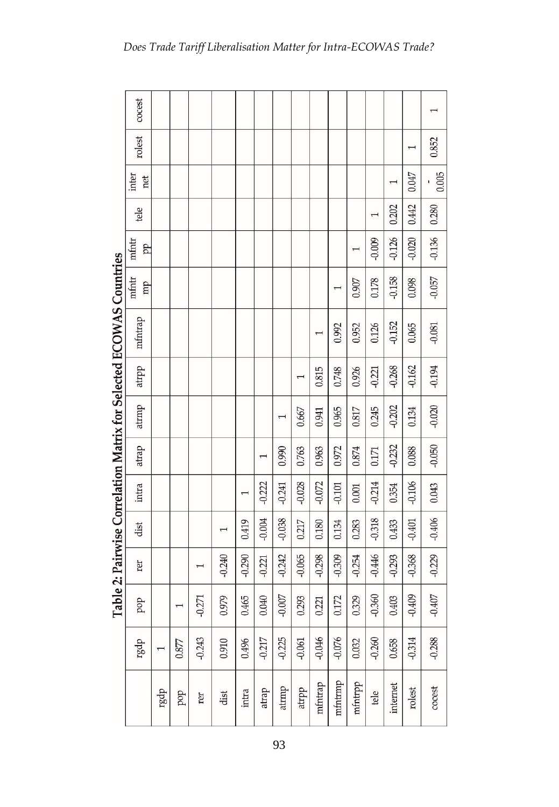|                                                                    | cocest       |                          |       |          |                          |          |          |          |          |                          |          |          |              |          |                           |          |
|--------------------------------------------------------------------|--------------|--------------------------|-------|----------|--------------------------|----------|----------|----------|----------|--------------------------|----------|----------|--------------|----------|---------------------------|----------|
|                                                                    | rolest       |                          |       |          |                          |          |          |          |          |                          |          |          |              |          | $\overline{ }$            | 0.852    |
|                                                                    | inter<br>net |                          |       |          |                          |          |          |          |          |                          |          |          |              | 1        | <b>CFO:0</b>              | 0.005    |
|                                                                    | tele         |                          |       |          |                          |          |          |          |          |                          |          |          |              | 0.202    | 0.442                     | 0.280    |
|                                                                    | mfntr<br>pp  |                          |       |          |                          |          |          |          |          |                          |          | I        | $-0.009$     | $-0.126$ | $-0.020$                  | $-0.136$ |
|                                                                    | mfntr<br>mp  |                          |       |          |                          |          |          |          |          |                          |          | 0.907    | 0.178        | $-0.158$ | 0.098                     | $-0.057$ |
| Table 2: Pairwise Correlation Matrix for Selected ECOWAS Countries | mfntrap      |                          |       |          |                          |          |          |          |          | $\overline{\phantom{0}}$ | 0.992    | 0.952    | 0.126        | $-0.152$ | 0.065                     | $-0.081$ |
|                                                                    | atrpp        |                          |       |          |                          |          |          |          |          | 0.815                    | 0.748    | 0.926    | $-0.221$     | $-0.268$ | $-0.162$                  | $-0.194$ |
|                                                                    | atrmp        |                          |       |          |                          |          |          |          | 0.667    | 0.941                    | 0.965    | 0.817    | 0.245        | $-0.202$ | 0.134                     | $-0.020$ |
|                                                                    | atrap        |                          |       |          |                          |          |          | 0.990    | 0.763    | 0.963                    | 0.972    | 0.874    | 0.171        | $-0.232$ | 0.088                     | $-0.050$ |
|                                                                    | intra        |                          |       |          |                          |          | $-0.222$ | $-0.241$ | $-0.028$ | $-0.072$                 | $-0.101$ | 0.001    | $-0.214$     | 0.354    | $-0.106$                  | 0.043    |
|                                                                    | dist         |                          |       |          | $\overline{\phantom{0}}$ | 0.419    | $-0.004$ | $-0.038$ | 0.217    | 0.180                    | 0.134    | 0.283    | $-0.318$     | 0.433    | $-0.401$                  | $-0.406$ |
|                                                                    | rer          |                          |       |          | $-0.240$                 | $-0.290$ | $-0.221$ | $-0.242$ | $-0.065$ | $-0.298$                 | $-0.309$ | $-0.254$ | $-0.446$     | $-0.293$ | $-0.368$                  | $-0.229$ |
|                                                                    | dod          |                          |       | $-0.271$ | 0.979                    | 0.465    | 0.040    | $-0.007$ | 0.293    | 0.221                    | 0.172    | 0.329    | S<br>$-0.36$ | 0.403    | $\mathfrak{A}$<br>$-0.40$ | $-0.407$ |
|                                                                    | rgdp         | $\overline{\phantom{0}}$ | 0.877 | $-0.243$ | 0.910                    | 0.496    | $-0.217$ | $-0.225$ | $-0.061$ | $-0.046$                 | $-0.076$ | 0.032    | $-0.260$     | 0.658    | $-0.314$                  | $-0.288$ |
|                                                                    |              | rgdp                     | bob   | rer      | dist                     | intra    | atrap    | atrmp    | atrpp    | mfntrap                  | mfntrmp  | mfntrpp  | tele         | internet | rolest                    | cocest   |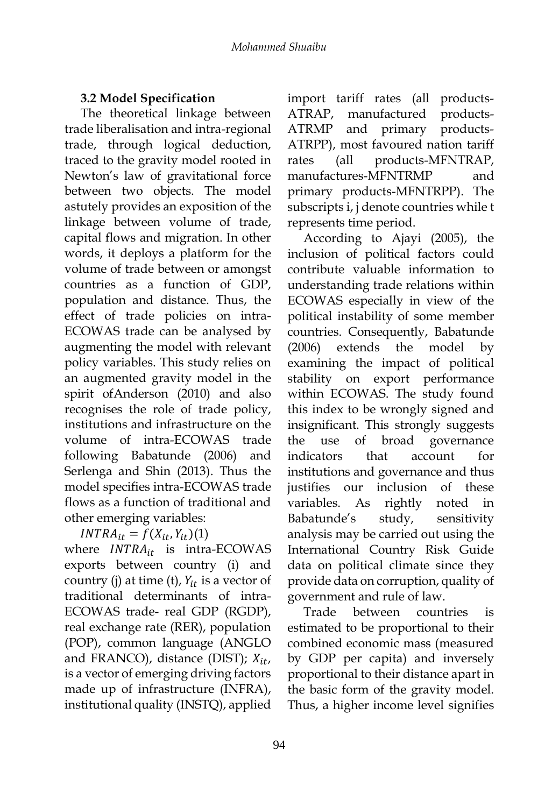# **3.2 Model Specification**

The theoretical linkage between trade liberalisation and intra-regional trade, through logical deduction, traced to the gravity model rooted in Newton's law of gravitational force between two objects. The model astutely provides an exposition of the linkage between volume of trade, capital flows and migration. In other words, it deploys a platform for the volume of trade between or amongst countries as a function of GDP, population and distance. Thus, the effect of trade policies on intra-ECOWAS trade can be analysed by augmenting the model with relevant policy variables. This study relies on an augmented gravity model in the spirit ofAnderson (2010) and also recognises the role of trade policy, institutions and infrastructure on the volume of intra-ECOWAS trade following Babatunde (2006) and Serlenga and Shin (2013). Thus the model specifies intra-ECOWAS trade flows as a function of traditional and other emerging variables:

 $INTRA_{it} = f(X_{it}, Y_{it})$ (1)

where  $INTRA_{it}$  is intra-ECOWAS exports between country (i) and country (j) at time (t),  $Y_{it}$  is a vector of traditional determinants of intra-ECOWAS trade- real GDP (RGDP), real exchange rate (RER), population (POP), common language (ANGLO and FRANCO), distance (DIST);  $X_{it}$ , is a vector of emerging driving factors made up of infrastructure (INFRA), institutional quality (INSTQ), applied

import tariff rates (all products-ATRAP, manufactured products-ATRMP and primary products-ATRPP), most favoured nation tariff rates (all products-MFNTRAP, manufactures-MFNTRMP and primary products-MFNTRPP). The subscripts i, j denote countries while t represents time period.

According to Ajayi (2005), the inclusion of political factors could contribute valuable information to understanding trade relations within ECOWAS especially in view of the political instability of some member countries. Consequently, Babatunde (2006) extends the model by examining the impact of political stability on export performance within ECOWAS. The study found this index to be wrongly signed and insignificant. This strongly suggests the use of broad governance indicators that account for institutions and governance and thus justifies our inclusion of these variables. As rightly noted in Babatunde's study, sensitivity analysis may be carried out using the International Country Risk Guide data on political climate since they provide data on corruption, quality of government and rule of law.

Trade between countries is estimated to be proportional to their combined economic mass (measured by GDP per capita) and inversely proportional to their distance apart in the basic form of the gravity model. Thus, a higher income level signifies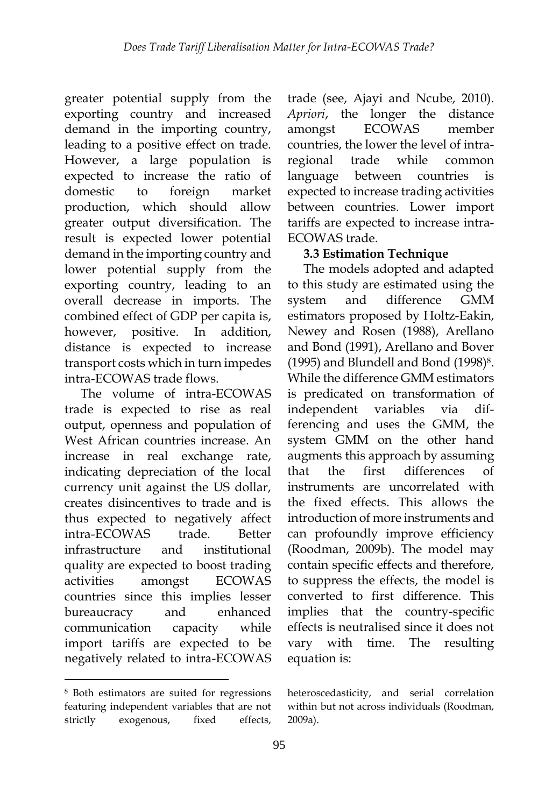greater potential supply from the exporting country and increased demand in the importing country, leading to a positive effect on trade. However, a large population is expected to increase the ratio of domestic to foreign market production, which should allow greater output diversification. The result is expected lower potential demand in the importing country and lower potential supply from the exporting country, leading to an overall decrease in imports. The combined effect of GDP per capita is, however, positive. In addition, distance is expected to increase transport costs which in turn impedes intra-ECOWAS trade flows.

The volume of intra-ECOWAS trade is expected to rise as real output, openness and population of West African countries increase. An increase in real exchange rate, indicating depreciation of the local currency unit against the US dollar, creates disincentives to trade and is thus expected to negatively affect intra-ECOWAS trade. Better infrastructure and institutional quality are expected to boost trading activities amongst ECOWAS countries since this implies lesser bureaucracy and enhanced communication capacity while import tariffs are expected to be negatively related to intra-ECOWAS

-

trade (see, Ajayi and Ncube, 2010). *Apriori*, the longer the distance amongst ECOWAS member countries, the lower the level of intraregional trade while common language between countries is expected to increase trading activities between countries. Lower import tariffs are expected to increase intra-ECOWAS trade.

### **3.3 Estimation Technique**

The models adopted and adapted to this study are estimated using the system and difference GMM estimators proposed by Holtz-Eakin, Newey and Rosen (1988), Arellano and Bond (1991), Arellano and Bover (1995) and Blundell and Bond (1998)8. While the difference GMM estimators is predicated on transformation of independent variables via differencing and uses the GMM, the system GMM on the other hand augments this approach by assuming that the first differences of instruments are uncorrelated with the fixed effects. This allows the introduction of more instruments and can profoundly improve efficiency (Roodman, 2009b). The model may contain specific effects and therefore, to suppress the effects, the model is converted to first difference. This implies that the country-specific effects is neutralised since it does not vary with time. The resulting equation is:

<sup>8</sup> Both estimators are suited for regressions featuring independent variables that are not strictly exogenous, fixed effects,

heteroscedasticity, and serial correlation within but not across individuals (Roodman, 2009a).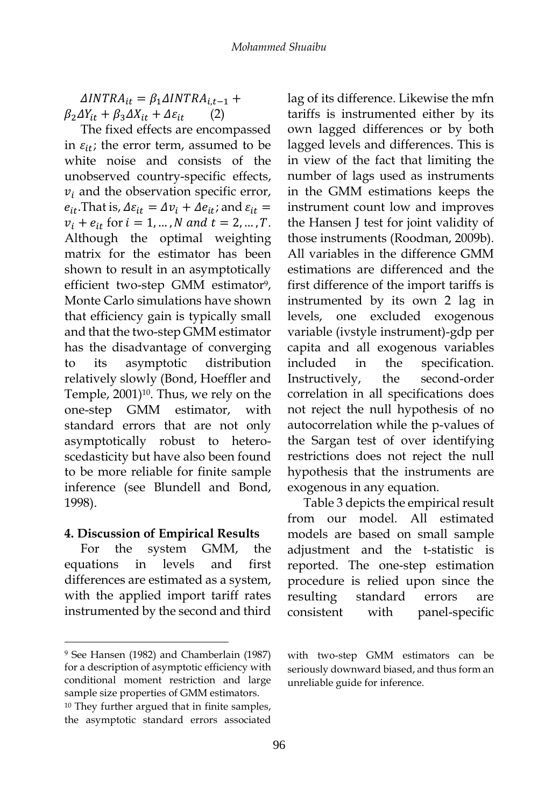$\Delta INTRA_{it} = \beta_1 \Delta INTRA_{it-1} +$  $\beta_2 \Delta Y_{it} + \beta_3 \Delta X_{it} + \Delta \varepsilon_{it}$  (2)

The fixed effects are encompassed in  $\varepsilon_{it}$ ; the error term, assumed to be white noise and consists of the unobserved country-specific effects,  $v_i$  and the observation specific error,  $e_{it}$ . That is,  $\Delta \varepsilon_{it} = \Delta v_i + \Delta e_{it}$ ; and  $\varepsilon_{it} =$  $v_i + e_{it}$  for  $i = 1, ..., N$  and  $t = 2, ..., T$ . Although the optimal weighting matrix for the estimator has been shown to result in an asymptotically efficient two-step GMM estimator<sup>9</sup>, Monte Carlo simulations have shown that efficiency gain is typically small and that the two-step GMM estimator has the disadvantage of converging to its asymptotic distribution relatively slowly (Bond, Hoeffler and Temple, 2001)<sup>10</sup>. Thus, we rely on the one-step GMM estimator, with standard errors that are not only asymptotically robust to heteroscedasticity but have also been found to be more reliable for finite sample inference (see Blundell and Bond, 1998).

#### **4. Discussion of Empirical Results**

For the system GMM, the equations in levels and first differences are estimated as a system, with the applied import tariff rates instrumented by the second and third

1

lag of its difference. Likewise the mfn tariffs is instrumented either by its own lagged differences or by both lagged levels and differences. This is in view of the fact that limiting the number of lags used as instruments in the GMM estimations keeps the instrument count low and improves the Hansen J test for joint validity of those instruments (Roodman, 2009b). All variables in the difference GMM estimations are differenced and the first difference of the import tariffs is instrumented by its own 2 lag in levels, one excluded exogenous variable (ivstyle instrument)-gdp per capita and all exogenous variables included in the specification. Instructively, the second-order correlation in all specifications does not reject the null hypothesis of no autocorrelation while the p-values of the Sargan test of over identifying restrictions does not reject the null hypothesis that the instruments are exogenous in any equation.

Table 3 depicts the empirical result from our model. All estimated models are based on small sample adjustment and the t-statistic is reported. The one-step estimation procedure is relied upon since the resulting standard errors are consistent with panel-specific

<sup>9</sup> See Hansen (1982) and Chamberlain (1987) for a description of asymptotic efficiency with conditional moment restriction and large sample size properties of GMM estimators. <sup>10</sup> They further argued that in finite samples, the asymptotic standard errors associated

with two-step GMM estimators can be seriously downward biased, and thus form an unreliable guide for inference.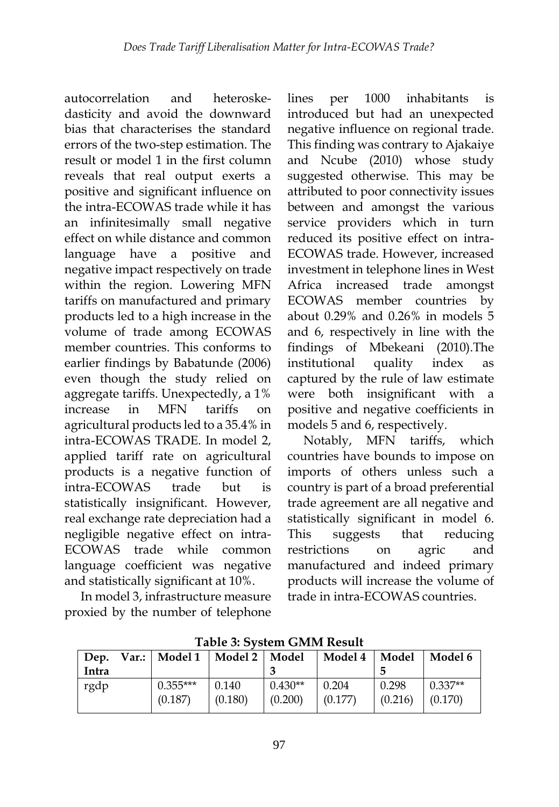autocorrelation and heteroskedasticity and avoid the downward bias that characterises the standard errors of the two-step estimation. The result or model 1 in the first column reveals that real output exerts a positive and significant influence on the intra-ECOWAS trade while it has an infinitesimally small negative effect on while distance and common language have a positive and negative impact respectively on trade within the region. Lowering MFN tariffs on manufactured and primary products led to a high increase in the volume of trade among ECOWAS member countries. This conforms to earlier findings by Babatunde (2006) even though the study relied on aggregate tariffs. Unexpectedly, a 1% increase in MFN tariffs on agricultural products led to a 35.4% in intra-ECOWAS TRADE. In model 2, applied tariff rate on agricultural products is a negative function of intra-ECOWAS trade but is statistically insignificant. However, real exchange rate depreciation had a negligible negative effect on intra-ECOWAS trade while common language coefficient was negative and statistically significant at 10%.

In model 3, infrastructure measure proxied by the number of telephone

lines per 1000 inhabitants is introduced but had an unexpected negative influence on regional trade. This finding was contrary to Ajakaiye and Ncube (2010) whose study suggested otherwise. This may be attributed to poor connectivity issues between and amongst the various service providers which in turn reduced its positive effect on intra-ECOWAS trade. However, increased investment in telephone lines in West Africa increased trade amongst ECOWAS member countries by about 0.29% and 0.26% in models 5 and 6, respectively in line with the findings of Mbekeani (2010).The institutional quality index as captured by the rule of law estimate were both insignificant with a positive and negative coefficients in models 5 and 6, respectively.

Notably, MFN tariffs, which countries have bounds to impose on imports of others unless such a country is part of a broad preferential trade agreement are all negative and statistically significant in model 6. This suggests that reducing restrictions on agric and manufactured and indeed primary products will increase the volume of trade in intra-ECOWAS countries.

|       | THER OF STORE GITTING TREDUIT |                       |                  |                      |                  |                  |                      |  |  |  |  |  |
|-------|-------------------------------|-----------------------|------------------|----------------------|------------------|------------------|----------------------|--|--|--|--|--|
| Dep.  |                               | Var.:   Model 1       | Model 2          | Model                | Model 4          | Model            | Model 6              |  |  |  |  |  |
| Intra |                               |                       |                  |                      |                  |                  |                      |  |  |  |  |  |
| rgdp  |                               | $0.355***$<br>(0.187) | 0.140<br>(0.180) | $0.430**$<br>(0.200) | 0.204<br>(0.177) | 0.298<br>(0.216) | $0.337**$<br>(0.170) |  |  |  |  |  |
|       |                               |                       |                  |                      |                  |                  |                      |  |  |  |  |  |

**Table 3: System GMM Result**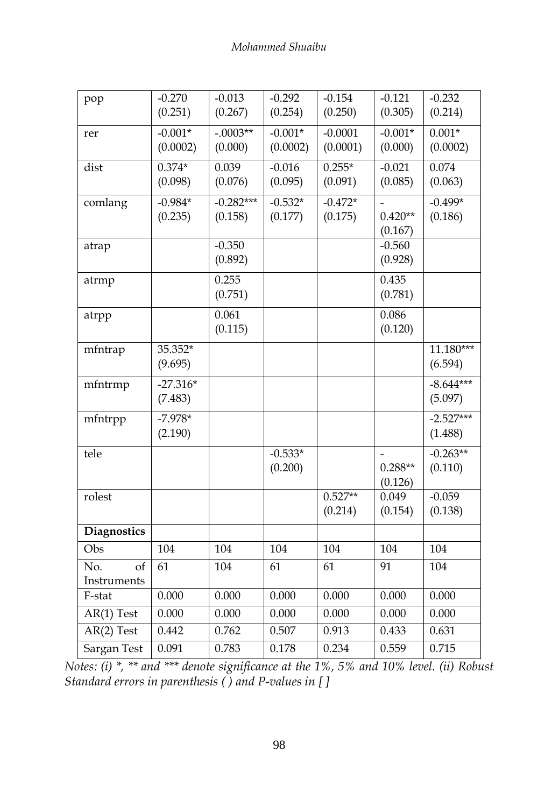| pop                      | $-0.270$<br>(0.251)   | $-0.013$<br>(0.267)    | $-0.292$<br>(0.254)  | $-0.154$<br>(0.250)  | $-0.121$<br>(0.305)  | $-0.232$<br>(0.214)    |
|--------------------------|-----------------------|------------------------|----------------------|----------------------|----------------------|------------------------|
| rer                      | $-0.001*$             | $-.0003**$             | $-0.001*$            | $-0.0001$            | $-0.001*$            | $0.001*$               |
|                          | (0.0002)              | (0.000)                | (0.0002)             | (0.0001)             | (0.000)              | (0.0002)               |
| dist                     | $0.374*$<br>(0.098)   | 0.039<br>(0.076)       | $-0.016$<br>(0.095)  | $0.255*$<br>(0.091)  | $-0.021$<br>(0.085)  | 0.074<br>(0.063)       |
| comlang                  | $-0.984*$<br>(0.235)  | $-0.282***$<br>(0.158) | $-0.532*$<br>(0.177) | $-0.472*$<br>(0.175) | $0.420**$<br>(0.167) | $-0.499*$<br>(0.186)   |
| atrap                    |                       | $-0.350$<br>(0.892)    |                      |                      | $-0.560$<br>(0.928)  |                        |
| atrmp                    |                       | 0.255<br>(0.751)       |                      |                      | 0.435<br>(0.781)     |                        |
| atrpp                    |                       | 0.061<br>(0.115)       |                      |                      | 0.086<br>(0.120)     |                        |
| mfntrap                  | 35.352*<br>(9.695)    |                        |                      |                      |                      | 11.180***<br>(6.594)   |
| mfntrmp                  | $-27.316*$<br>(7.483) |                        |                      |                      |                      | $-8.644***$<br>(5.097) |
| mfntrpp                  | $-7.978*$<br>(2.190)  |                        |                      |                      |                      | $-2.527***$<br>(1.488) |
| tele                     |                       |                        | $-0.533*$<br>(0.200) |                      | $0.288**$<br>(0.126) | $-0.263**$<br>(0.110)  |
| rolest                   |                       |                        |                      | $0.527**$<br>(0.214) | 0.049<br>(0.154)     | $-0.059$<br>(0.138)    |
| <b>Diagnostics</b>       |                       |                        |                      |                      |                      |                        |
| Obs                      | 104                   | 104                    | 104                  | 104                  | 104                  | 104                    |
| No.<br>of<br>Instruments | 61                    | 104                    | 61                   | 61                   | 91                   | 104                    |
| F-stat                   | 0.000                 | 0.000                  | 0.000                | 0.000                | 0.000                | 0.000                  |
| $AR(1)$ Test             | 0.000                 | 0.000                  | 0.000                | 0.000                | 0.000                | 0.000                  |
| $AR(2)$ Test             | 0.442                 | 0.762                  | 0.507                | 0.913                | 0.433                | 0.631                  |
| Sargan Test              | 0.091                 | 0.783                  | 0.178                | 0.234                | 0.559                | 0.715                  |

*Notes: (i) \*, \*\* and \*\*\* denote significance at the 1%, 5% and 10% level. (ii) Robust Standard errors in parenthesis ( ) and P-values in [ ]*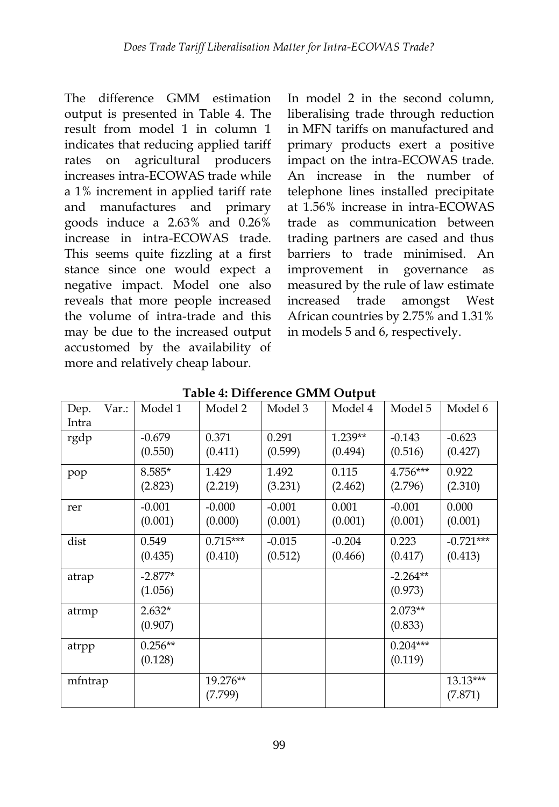The difference GMM estimation output is presented in Table 4. The result from model 1 in column 1 indicates that reducing applied tariff rates on agricultural producers increases intra-ECOWAS trade while a 1% increment in applied tariff rate and manufactures and primary goods induce a 2.63% and 0.26% increase in intra-ECOWAS trade. This seems quite fizzling at a first stance since one would expect a negative impact. Model one also reveals that more people increased the volume of intra-trade and this may be due to the increased output accustomed by the availability of more and relatively cheap labour.

In model 2 in the second column, liberalising trade through reduction in MFN tariffs on manufactured and primary products exert a positive impact on the intra-ECOWAS trade. An increase in the number of telephone lines installed precipitate at 1.56% increase in intra-ECOWAS trade as communication between trading partners are cased and thus barriers to trade minimised. An improvement in governance as measured by the rule of law estimate increased trade amongst West African countries by 2.75% and 1.31% in models 5 and 6, respectively.

| Var.:<br>Dep. | Model 1   | Model 2    | Model 3  | Model 4   | Model 5    | Model 6     |
|---------------|-----------|------------|----------|-----------|------------|-------------|
| Intra         |           |            |          |           |            |             |
| rgdp          | $-0.679$  | 0.371      | 0.291    | $1.239**$ | $-0.143$   | $-0.623$    |
|               | (0.550)   | (0.411)    | (0.599)  | (0.494)   | (0.516)    | (0.427)     |
| pop           | $8.585*$  | 1.429      | 1.492    | 0.115     | 4.756***   | 0.922       |
|               | (2.823)   | (2.219)    | (3.231)  | (2.462)   | (2.796)    | (2.310)     |
| rer           | $-0.001$  | $-0.000$   | $-0.001$ | 0.001     | $-0.001$   | 0.000       |
|               | (0.001)   | (0.000)    | (0.001)  | (0.001)   | (0.001)    | (0.001)     |
| dist          | 0.549     | $0.715***$ | $-0.015$ | $-0.204$  | 0.223      | $-0.721***$ |
|               | (0.435)   | (0.410)    | (0.512)  | (0.466)   | (0.417)    | (0.413)     |
| atrap         | $-2.877*$ |            |          |           | $-2.264**$ |             |
|               | (1.056)   |            |          |           | (0.973)    |             |
| atrmp         | $2.632*$  |            |          |           | $2.073**$  |             |
|               | (0.907)   |            |          |           | (0.833)    |             |
| atrpp         | $0.256**$ |            |          |           | $0.204***$ |             |
|               | (0.128)   |            |          |           | (0.119)    |             |
| mfntrap       |           | 19.276**   |          |           |            | $13.13***$  |
|               |           | (7.799)    |          |           |            | (7.871)     |

**Table 4: Difference GMM Output**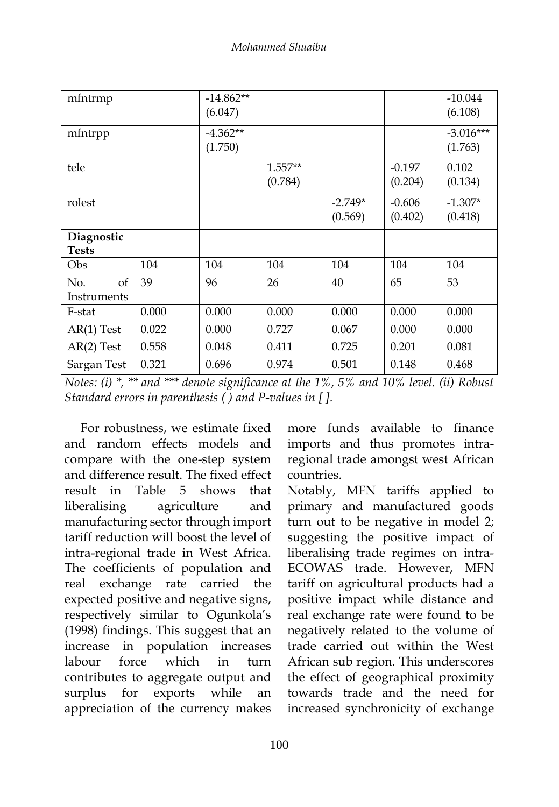| mfntrmp                    |       | $-14.862**$<br>(6.047) |                      |                      |                     | $-10.044$<br>(6.108)   |
|----------------------------|-------|------------------------|----------------------|----------------------|---------------------|------------------------|
| mfntrpp                    |       | $-4.362**$<br>(1.750)  |                      |                      |                     | $-3.016***$<br>(1.763) |
| tele                       |       |                        | $1.557**$<br>(0.784) |                      | $-0.197$<br>(0.204) | 0.102<br>(0.134)       |
| rolest                     |       |                        |                      | $-2.749*$<br>(0.569) | $-0.606$<br>(0.402) | $-1.307*$<br>(0.418)   |
| Diagnostic<br><b>Tests</b> |       |                        |                      |                      |                     |                        |
| Obs                        | 104   | 104                    | 104                  | 104                  | 104                 | 104                    |
| No.<br>of<br>Instruments   | 39    | 96                     | 26                   | 40                   | 65                  | 53                     |
| F-stat                     | 0.000 | 0.000                  | 0.000                | 0.000                | 0.000               | 0.000                  |
| $AR(1)$ Test               | 0.022 | 0.000                  | 0.727                | 0.067                | 0.000               | 0.000                  |
| $AR(2)$ Test               | 0.558 | 0.048                  | 0.411                | 0.725                | 0.201               | 0.081                  |
| Sargan Test                | 0.321 | 0.696                  | 0.974                | 0.501                | 0.148               | 0.468                  |

*Notes: (i) \*, \*\* and \*\*\* denote significance at the 1%, 5% and 10% level. (ii) Robust Standard errors in parenthesis ( ) and P-values in [ ].*

For robustness, we estimate fixed and random effects models and compare with the one-step system and difference result. The fixed effect result in Table 5 shows that liberalising agriculture and manufacturing sector through import tariff reduction will boost the level of intra-regional trade in West Africa. The coefficients of population and real exchange rate carried the expected positive and negative signs, respectively similar to Ogunkola's (1998) findings. This suggest that an increase in population increases labour force which in turn contributes to aggregate output and surplus for exports while an appreciation of the currency makes

more funds available to finance imports and thus promotes intraregional trade amongst west African countries.

Notably, MFN tariffs applied to primary and manufactured goods turn out to be negative in model 2; suggesting the positive impact of liberalising trade regimes on intra-ECOWAS trade. However, MFN tariff on agricultural products had a positive impact while distance and real exchange rate were found to be negatively related to the volume of trade carried out within the West African sub region. This underscores the effect of geographical proximity towards trade and the need for increased synchronicity of exchange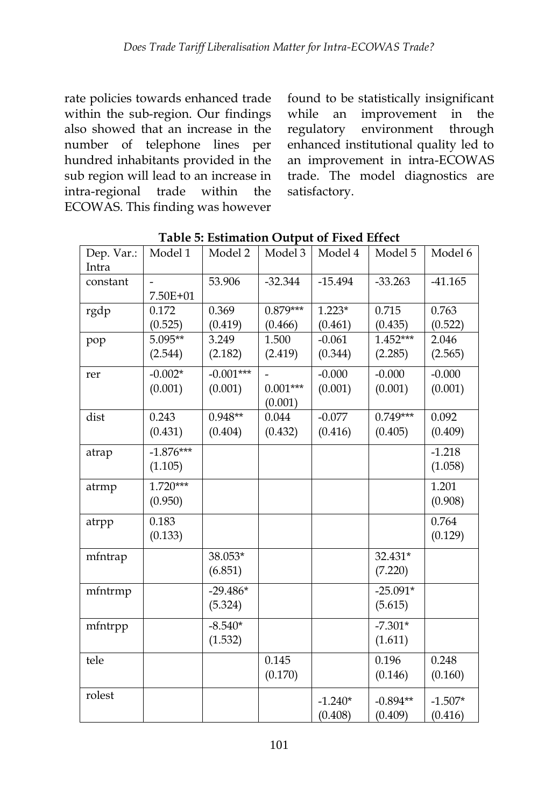rate policies towards enhanced trade within the sub-region. Our findings also showed that an increase in the number of telephone lines per hundred inhabitants provided in the sub region will lead to an increase in intra-regional trade within the ECOWAS. This finding was however

found to be statistically insignificant while an improvement in the regulatory environment through enhanced institutional quality led to an improvement in intra-ECOWAS trade. The model diagnostics are satisfactory.

| Dep. Var.:<br>Intra | Model 1                | Model 2                | Model 3                                    | Model 4              | Model 5               | Model 6              |
|---------------------|------------------------|------------------------|--------------------------------------------|----------------------|-----------------------|----------------------|
| constant            | 7.50E+01               | 53.906                 | $-32.344$                                  | $-15.494$            | $-33.263$             | $-41.165$            |
| rgdp                | 0.172<br>(0.525)       | 0.369<br>(0.419)       | $0.879***$<br>(0.466)                      | $1.223*$<br>(0.461)  | 0.715<br>(0.435)      | 0.763<br>(0.522)     |
| pop                 | 5.095**<br>(2.544)     | 3.249<br>(2.182)       | 1.500<br>(2.419)                           | $-0.061$<br>(0.344)  | 1.452***<br>(2.285)   | 2.046<br>(2.565)     |
| rer                 | $-0.002*$<br>(0.001)   | $-0.001***$<br>(0.001) | $\qquad \qquad =$<br>$0.001***$<br>(0.001) | $-0.000$<br>(0.001)  | $-0.000$<br>(0.001)   | $-0.000$<br>(0.001)  |
| dist                | 0.243<br>(0.431)       | $0.948**$<br>(0.404)   | 0.044<br>(0.432)                           | $-0.077$<br>(0.416)  | $0.749***$<br>(0.405) | 0.092<br>(0.409)     |
| atrap               | $-1.876***$<br>(1.105) |                        |                                            |                      |                       | $-1.218$<br>(1.058)  |
| atrmp               | $1.720***$<br>(0.950)  |                        |                                            |                      |                       | 1.201<br>(0.908)     |
| atrpp               | 0.183<br>(0.133)       |                        |                                            |                      |                       | 0.764<br>(0.129)     |
| mfntrap             |                        | 38.053*<br>(6.851)     |                                            |                      | 32.431*<br>(7.220)    |                      |
| mfntrmp             |                        | $-29.486*$<br>(5.324)  |                                            |                      | $-25.091*$<br>(5.615) |                      |
| mfntrpp             |                        | $-8.540*$<br>(1.532)   |                                            |                      | $-7.301*$<br>(1.611)  |                      |
| tele                |                        |                        | 0.145<br>(0.170)                           |                      | 0.196<br>(0.146)      | 0.248<br>(0.160)     |
| rolest              |                        |                        |                                            | $-1.240*$<br>(0.408) | $-0.894**$<br>(0.409) | $-1.507*$<br>(0.416) |

**Table 5: Estimation Output of Fixed Effect**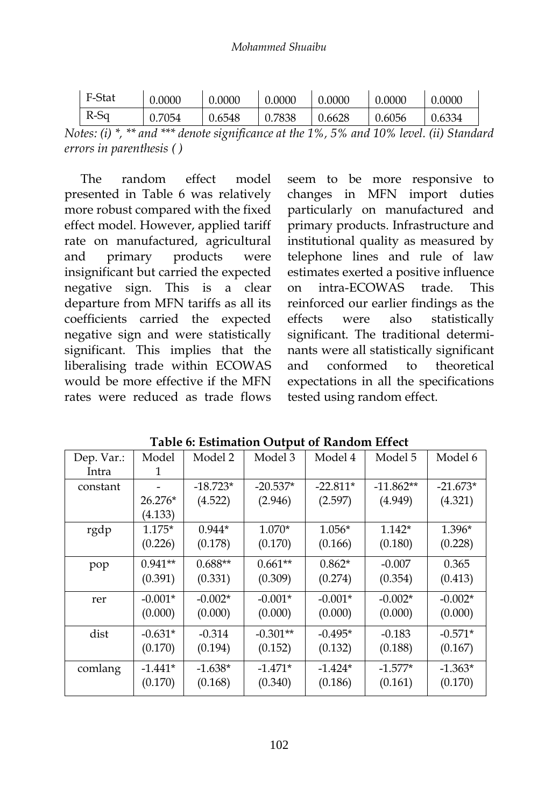| F-Stat | 0.0000 | 0.0000 | 0.0000 | 0.0000 | 0.0000        | 0.0000 |
|--------|--------|--------|--------|--------|---------------|--------|
| R-Sa   | 0.7054 | 0.6548 | 0.7838 | 0.6628 | $\mid 0.6056$ | 0.6334 |
|        |        |        |        |        |               |        |

*Notes: (i) \*, \*\* and \*\*\* denote significance at the 1%, 5% and 10% level. (ii) Standard errors in parenthesis ( )*

The random effect model presented in Table 6 was relatively more robust compared with the fixed effect model. However, applied tariff rate on manufactured, agricultural and primary products were insignificant but carried the expected negative sign. This is a clear departure from MFN tariffs as all its coefficients carried the expected negative sign and were statistically significant. This implies that the liberalising trade within ECOWAS would be more effective if the MFN rates were reduced as trade flows

seem to be more responsive to changes in MFN import duties particularly on manufactured and primary products. Infrastructure and institutional quality as measured by telephone lines and rule of law estimates exerted a positive influence on intra-ECOWAS trade. This reinforced our earlier findings as the effects were also statistically significant. The traditional determinants were all statistically significant and conformed to theoretical expectations in all the specifications tested using random effect.

| Dep. Var.: | Model     | Model 2    | Model 3    | Model 4    | Model 5     | Model 6    |
|------------|-----------|------------|------------|------------|-------------|------------|
| Intra      | 1         |            |            |            |             |            |
| constant   |           | $-18.723*$ | $-20.537*$ | $-22.811*$ | $-11.862**$ | $-21.673*$ |
|            | $26.276*$ | (4.522)    | (2.946)    | (2.597)    | (4.949)     | (4.321)    |
|            | (4.133)   |            |            |            |             |            |
| rgdp       | $1.175*$  | $0.944*$   | $1.070*$   | $1.056*$   | $1.142*$    | 1.396*     |
|            | (0.226)   | (0.178)    | (0.170)    | (0.166)    | (0.180)     | (0.228)    |
| pop        | $0.941**$ | $0.688**$  | $0.661**$  | $0.862*$   | $-0.007$    | 0.365      |
|            | (0.391)   | (0.331)    | (0.309)    | (0.274)    | (0.354)     | (0.413)    |
| rer        | $-0.001*$ | $-0.002*$  | $-0.001*$  | $-0.001*$  | $-0.002*$   | $-0.002*$  |
|            | (0.000)   | (0.000)    | (0.000)    | (0.000)    | (0.000)     | (0.000)    |
| dist       | $-0.631*$ | $-0.314$   | $-0.301**$ | $-0.495*$  | $-0.183$    | $-0.571*$  |
|            | (0.170)   | (0.194)    | (0.152)    | (0.132)    | (0.188)     | (0.167)    |
| comlang    | $-1.441*$ | $-1.638*$  | $-1.471*$  | $-1.424*$  | $-1.577*$   | $-1.363*$  |
|            | (0.170)   | (0.168)    | (0.340)    | (0.186)    | (0.161)     | (0.170)    |

**Table 6: Estimation Output of Random Effect**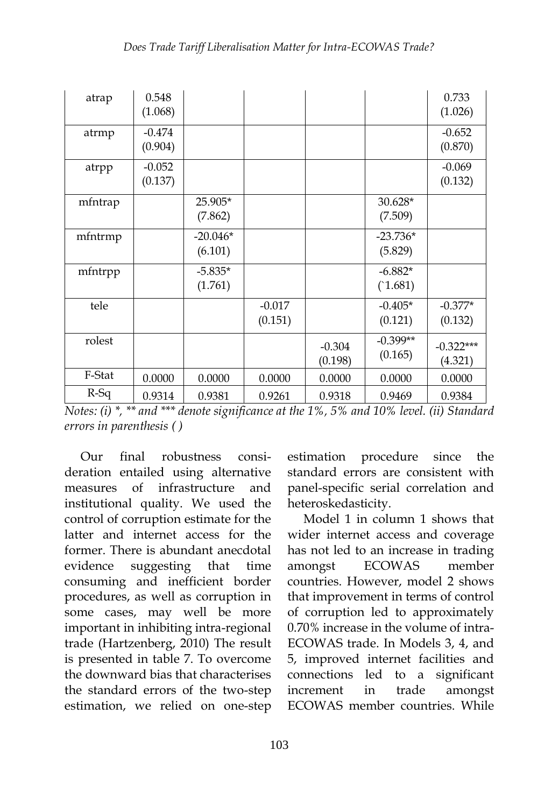| atrap   | 0.548<br>(1.068)    |                       |                     |                     |                       | 0.733<br>(1.026)       |
|---------|---------------------|-----------------------|---------------------|---------------------|-----------------------|------------------------|
| atrmp   | $-0.474$<br>(0.904) |                       |                     |                     |                       | $-0.652$<br>(0.870)    |
| atrpp   | $-0.052$<br>(0.137) |                       |                     |                     |                       | $-0.069$<br>(0.132)    |
| mfntrap |                     | 25.905*<br>(7.862)    |                     |                     | $30.628*$<br>(7.509)  |                        |
| mfntrmp |                     | $-20.046*$<br>(6.101) |                     |                     | $-23.736*$<br>(5.829) |                        |
| mfntrpp |                     | $-5.835*$<br>(1.761)  |                     |                     | $-6.882*$<br>(1.681)  |                        |
| tele    |                     |                       | $-0.017$<br>(0.151) |                     | $-0.405*$<br>(0.121)  | $-0.377*$<br>(0.132)   |
| rolest  |                     |                       |                     | $-0.304$<br>(0.198) | $-0.399**$<br>(0.165) | $-0.322***$<br>(4.321) |
| F-Stat  | 0.0000              | 0.0000                | 0.0000              | 0.0000              | 0.0000                | 0.0000                 |
| $R-Sq$  | 0.9314              | 0.9381                | 0.9261              | 0.9318              | 0.9469                | 0.9384                 |

|                          |  | Notes: (i) $*$ , $**$ and $***$ denote significance at the 1%, 5% and 10% level. (ii) Standard |  |  |  |
|--------------------------|--|------------------------------------------------------------------------------------------------|--|--|--|
| errors in parenthesis () |  |                                                                                                |  |  |  |

Our final robustness consideration entailed using alternative measures of infrastructure and institutional quality. We used the control of corruption estimate for the latter and internet access for the former. There is abundant anecdotal evidence suggesting that time consuming and inefficient border procedures, as well as corruption in some cases, may well be more important in inhibiting intra-regional trade (Hartzenberg, 2010) The result is presented in table 7. To overcome the downward bias that characterises the standard errors of the two-step estimation, we relied on one-step

estimation procedure since the standard errors are consistent with panel-specific serial correlation and heteroskedasticity.

Model 1 in column 1 shows that wider internet access and coverage has not led to an increase in trading amongst ECOWAS member countries. However, model 2 shows that improvement in terms of control of corruption led to approximately 0.70% increase in the volume of intra-ECOWAS trade. In Models 3, 4, and 5, improved internet facilities and connections led to a significant increment in trade amongst ECOWAS member countries. While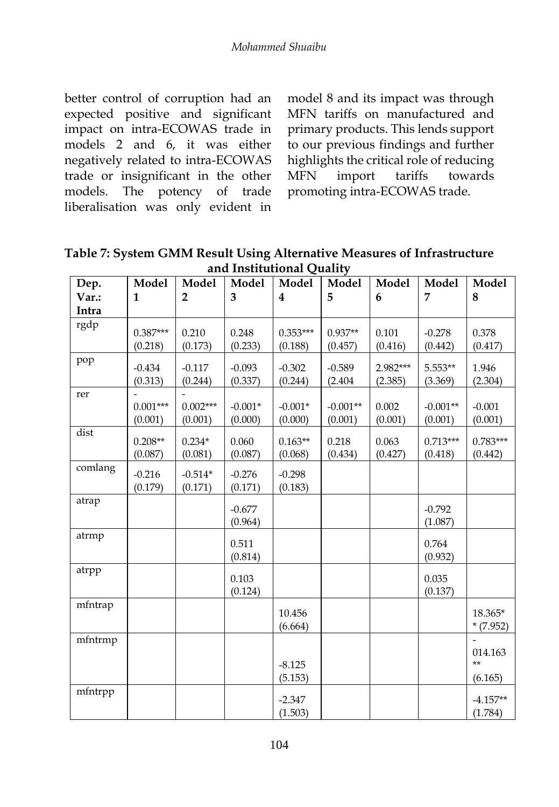better control of corruption had an expected positive and significant impact on intra-ECOWAS trade in models 2 and 6, it was either negatively related to intra-ECOWAS trade or insignificant in the other models. The potency of trade liberalisation was only evident in

model 8 and its impact was through MFN tariffs on manufactured and primary products. This lends support to our previous findings and further highlights the critical role of reducing MFN import tariffs towards promoting intra-ECOWAS trade.

**Table 7: System GMM Result Using Alternative Measures of Infrastructure and Institutional Quality**

| Dep.    | Model                 | Model                 | Model                | Model                   | Model                 | Model               | Model                 | Model                 |
|---------|-----------------------|-----------------------|----------------------|-------------------------|-----------------------|---------------------|-----------------------|-----------------------|
| Var.:   | $\mathbf{1}$          | $\overline{2}$        | 3                    | $\overline{\mathbf{4}}$ | 5                     | 6                   | 7                     | 8                     |
| Intra   |                       |                       |                      |                         |                       |                     |                       |                       |
| rgdp    | $0.387***$<br>(0.218) | 0.210<br>(0.173)      | 0.248<br>(0.233)     | $0.353***$<br>(0.188)   | $0.937**$<br>(0.457)  | 0.101<br>(0.416)    | $-0.278$<br>(0.442)   | 0.378<br>(0.417)      |
| pop     | $-0.434$<br>(0.313)   | $-0.117$<br>(0.244)   | $-0.093$<br>(0.337)  | $-0.302$<br>(0.244)     | $-0.589$<br>(2.404)   | 2.982***<br>(2.385) | 5.553**<br>(3.369)    | 1.946<br>(2.304)      |
| rer     | $0.001***$<br>(0.001) | $0.002***$<br>(0.001) | $-0.001*$<br>(0.000) | $-0.001*$<br>(0.000)    | $-0.001**$<br>(0.001) | 0.002<br>(0.001)    | $-0.001**$<br>(0.001) | $-0.001$<br>(0.001)   |
| dist    | $0.208**$<br>(0.087)  | $0.234*$<br>(0.081)   | 0.060<br>(0.087)     | $0.163**$<br>(0.068)    | 0.218<br>(0.434)      | 0.063<br>(0.427)    | $0.713***$<br>(0.418) | $0.783***$<br>(0.442) |
| comlang | $-0.216$<br>(0.179)   | $-0.514*$<br>(0.171)  | $-0.276$<br>(0.171)  | $-0.298$<br>(0.183)     |                       |                     |                       |                       |
| atrap   |                       |                       | $-0.677$<br>(0.964)  |                         |                       |                     | $-0.792$<br>(1.087)   |                       |
| atrmp   |                       |                       | 0.511<br>(0.814)     |                         |                       |                     | 0.764<br>(0.932)      |                       |
| atrpp   |                       |                       | 0.103<br>(0.124)     |                         |                       |                     | 0.035<br>(0.137)      |                       |
| mfntrap |                       |                       |                      | 10.456<br>(6.664)       |                       |                     |                       | 18.365*<br>$*(7.952)$ |
| mfntrmp |                       |                       |                      | $-8.125$                |                       |                     |                       | 014.163<br>$**$       |
|         |                       |                       |                      | (5.153)                 |                       |                     |                       | (6.165)               |
| mfntrpp |                       |                       |                      | $-2.347$<br>(1.503)     |                       |                     |                       | $-4.157**$<br>(1.784) |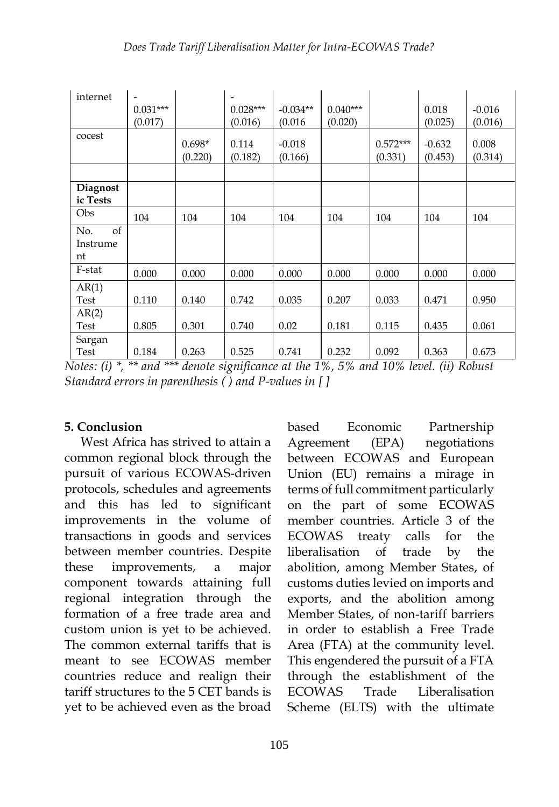| internet                    | $\qquad \qquad \blacksquare$<br>$0.031***$<br>(0.017) |                     | $0.028***$<br>(0.016) | $-0.034**$<br>(0.016) | $0.040***$<br>(0.020) |                       | 0.018<br>(0.025)    | $-0.016$<br>(0.016) |
|-----------------------------|-------------------------------------------------------|---------------------|-----------------------|-----------------------|-----------------------|-----------------------|---------------------|---------------------|
| cocest                      |                                                       | $0.698*$<br>(0.220) | 0.114<br>(0.182)      | $-0.018$<br>(0.166)   |                       | $0.572***$<br>(0.331) | $-0.632$<br>(0.453) | 0.008<br>(0.314)    |
|                             |                                                       |                     |                       |                       |                       |                       |                     |                     |
| <b>Diagnost</b><br>ic Tests |                                                       |                     |                       |                       |                       |                       |                     |                     |
| Obs                         | 104                                                   | 104                 | 104                   | 104                   | 104                   | 104                   | 104                 | 104                 |
| of<br>No.<br>Instrume<br>nt |                                                       |                     |                       |                       |                       |                       |                     |                     |
| F-stat                      | 0.000                                                 | 0.000               | 0.000                 | 0.000                 | 0.000                 | 0.000                 | 0.000               | 0.000               |
| AR(1)<br>Test               | 0.110                                                 | 0.140               | 0.742                 | 0.035                 | 0.207                 | 0.033                 | 0.471               | 0.950               |
| AR(2)<br>Test               | 0.805                                                 | 0.301               | 0.740                 | 0.02                  | 0.181                 | 0.115                 | 0.435               | 0.061               |
| Sargan<br>Test              | 0.184                                                 | 0.263               | 0.525                 | 0.741                 | 0.232                 | 0.092                 | 0.363               | 0.673               |

*Notes: (i) \*, \*\* and \*\*\* denote significance at the 1%, 5% and 10% level. (ii) Robust Standard errors in parenthesis ( ) and P-values in [ ]* 

#### **5. Conclusion**

West Africa has strived to attain a common regional block through the pursuit of various ECOWAS-driven protocols, schedules and agreements and this has led to significant improvements in the volume of transactions in goods and services between member countries. Despite these improvements, a major component towards attaining full regional integration through the formation of a free trade area and custom union is yet to be achieved. The common external tariffs that is meant to see ECOWAS member countries reduce and realign their tariff structures to the 5 CET bands is yet to be achieved even as the broad

based Economic Partnership Agreement (EPA) negotiations between ECOWAS and European Union (EU) remains a mirage in terms of full commitment particularly on the part of some ECOWAS member countries. Article 3 of the ECOWAS treaty calls for the liberalisation of trade by the abolition, among Member States, of customs duties levied on imports and exports, and the abolition among Member States, of non-tariff barriers in order to establish a Free Trade Area (FTA) at the community level. This engendered the pursuit of a FTA through the establishment of the ECOWAS Trade Liberalisation Scheme (ELTS) with the ultimate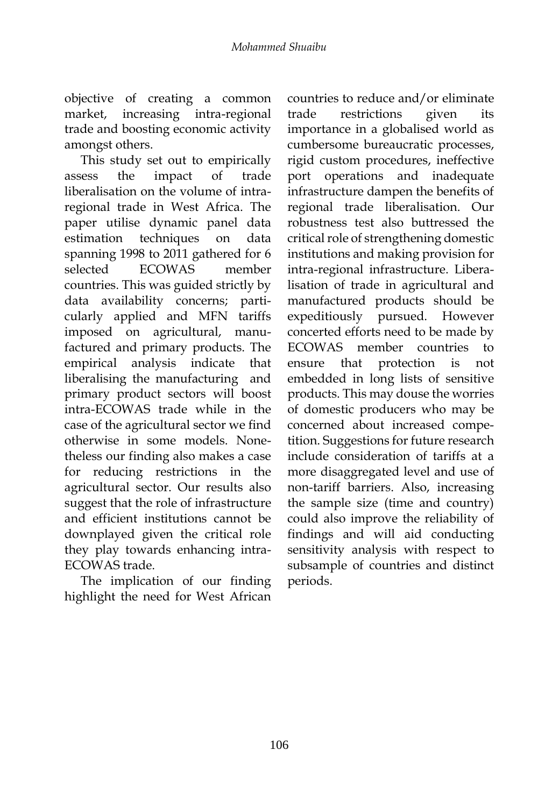objective of creating a common market, increasing intra-regional trade and boosting economic activity amongst others.

This study set out to empirically assess the impact of trade liberalisation on the volume of intraregional trade in West Africa. The paper utilise dynamic panel data estimation techniques on data spanning 1998 to 2011 gathered for 6 selected ECOWAS member countries. This was guided strictly by data availability concerns; particularly applied and MFN tariffs imposed on agricultural, manufactured and primary products. The empirical analysis indicate that liberalising the manufacturing and primary product sectors will boost intra-ECOWAS trade while in the case of the agricultural sector we find otherwise in some models. Nonetheless our finding also makes a case for reducing restrictions in the agricultural sector. Our results also suggest that the role of infrastructure and efficient institutions cannot be downplayed given the critical role they play towards enhancing intra-ECOWAS trade.

The implication of our finding highlight the need for West African countries to reduce and/or eliminate trade restrictions given its importance in a globalised world as cumbersome bureaucratic processes, rigid custom procedures, ineffective port operations and inadequate infrastructure dampen the benefits of regional trade liberalisation. Our robustness test also buttressed the critical role of strengthening domestic institutions and making provision for intra-regional infrastructure. Liberalisation of trade in agricultural and manufactured products should be expeditiously pursued. However concerted efforts need to be made by ECOWAS member countries to ensure that protection is not embedded in long lists of sensitive products. This may douse the worries of domestic producers who may be concerned about increased competition. Suggestions for future research include consideration of tariffs at a more disaggregated level and use of non-tariff barriers. Also, increasing the sample size (time and country) could also improve the reliability of findings and will aid conducting sensitivity analysis with respect to subsample of countries and distinct periods.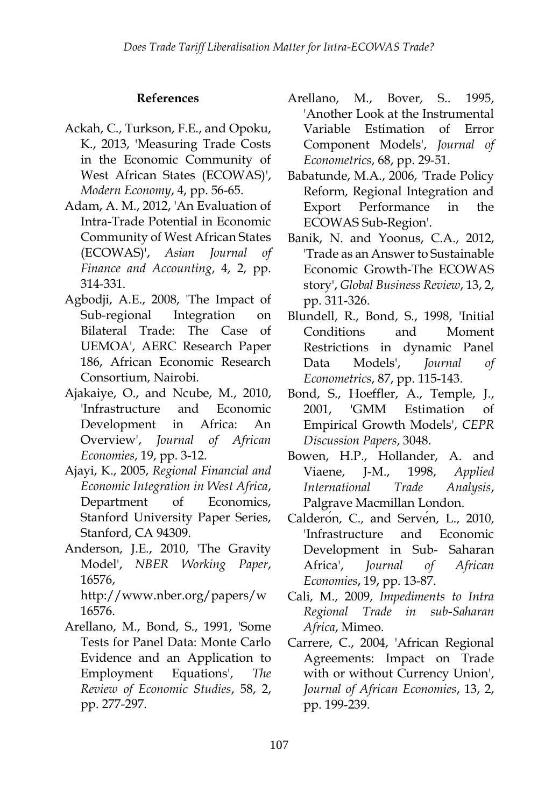#### **References**

- Ackah, C., Turkson, F.E., and Opoku, K., 2013, 'Measuring Trade Costs in the Economic Community of West African States (ECOWAS)', *Modern Economy*, 4, pp. 56-65.
- Adam, A. M., 2012, 'An Evaluation of Intra-Trade Potential in Economic Community of West African States (ECOWAS)', *Asian Journal of Finance and Accounting*, 4, 2, pp. 314-331.
- Agbodji, A.E., 2008, 'The Impact of Sub-regional Integration on Bilateral Trade: The Case of UEMOA', AERC Research Paper 186, African Economic Research Consortium, Nairobi.
- Ajakaiye, O., and Ncube, M., 2010, 'Infrastructure and Economic Development in Africa: An Overview', *Journal of African Economies*, 19, pp. 3-12.
- Ajayi, K., 2005, *Regional Financial and Economic Integration in West Africa*, Department of Economics, Stanford University Paper Series, Stanford, CA 94309.
- Anderson, J.E., 2010, 'The Gravity Model', *NBER Working Paper*, 16576, http://www.nber.org/papers/w 16576.
- Arellano, M., Bond, S., 1991, 'Some Tests for Panel Data: Monte Carlo Evidence and an Application to Employment Equations', *The Review of Economic Studies*, 58, 2, pp. 277-297.
- Arellano, M., Bover, S.. 1995, 'Another Look at the Instrumental Variable Estimation of Error Component Models', *Journal of Econometrics*, 68, pp. 29-51.
- Babatunde, M.A., 2006, 'Trade Policy Reform, Regional Integration and Export Performance in the ECOWAS Sub-Region'.
- Banik, N. and Yoonus, C.A., 2012, 'Trade as an Answer to Sustainable Economic Growth-The ECOWAS story', *Global Business Review*, 13, 2, pp. 311-326.
- Blundell, R., Bond, S., 1998, 'Initial Conditions and Moment Restrictions in dynamic Panel Data Models', *Journal of Econometrics*, 87, pp. 115-143.
- Bond, S., Hoeffler, A., Temple, J., 2001, 'GMM Estimation of Empirical Growth Models', *CEPR Discussion Papers*, 3048.
- Bowen, H.P., Hollander, A. and Viaene, J-M., 1998, *Applied International Trade Analysis*, Palgrave Macmillan London.
- Calderon, C., and Serven, L., 2010, 'Infrastructure and Economic Development in Sub- Saharan Africa', *Journal of African Economies*, 19, pp. 13-87.
- Cali, M., 2009, *Impediments to Intra Regional Trade in sub-Saharan Africa*, Mimeo.
- Carrere, C., 2004, 'African Regional Agreements: Impact on Trade with or without Currency Union', *Journal of African Economies*, 13, 2, pp. 199-239.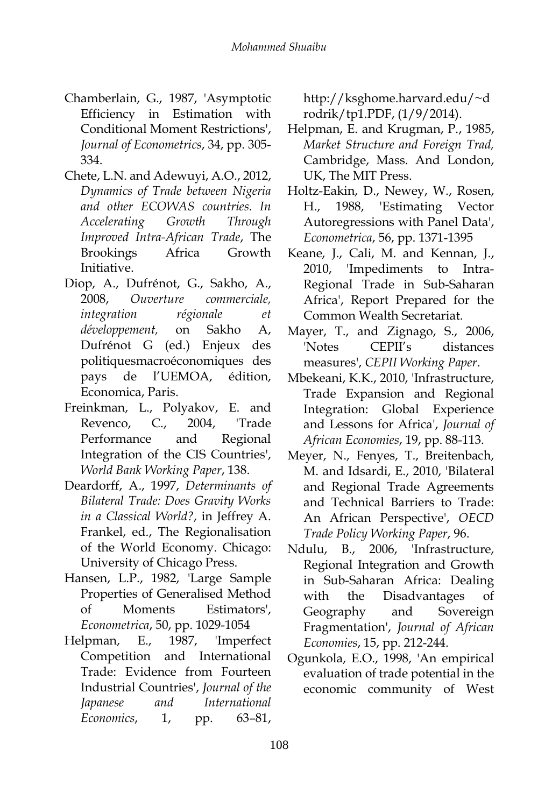- Chamberlain, G., 1987, 'Asymptotic Efficiency in Estimation with Conditional Moment Restrictions', *Journal of Econometrics*, 34, pp. 305- 334.
- Chete, L.N. and Adewuyi, A.O., 2012, *Dynamics of Trade between Nigeria and other ECOWAS countries. In Accelerating Growth Through Improved Intra-African Trade*, The Brookings Africa Growth Initiative.
- Diop, A., Dufrénot, G., Sakho, A., 2008, *Ouverture commerciale, integration régionale et développement,* on Sakho A, Dufrénot G (ed.) Enjeux des politiquesmacroéconomiques des pays de l'UEMOA, édition, Economica, Paris.
- Freinkman, L., Polyakov, E. and Revenco, C., 2004, 'Trade Performance and Regional Integration of the CIS Countries', *World Bank Working Paper*, 138.
- Deardorff, A., 1997, *Determinants of Bilateral Trade: Does Gravity Works in a Classical World?*, in Jeffrey A. Frankel, ed., The Regionalisation of the World Economy. Chicago: University of Chicago Press.
- Hansen, L.P., 1982, 'Large Sample Properties of Generalised Method of Moments Estimators', *Econometrica*, 50, pp. 1029-1054
- Helpman, E., 1987, 'Imperfect Competition and International Trade: Evidence from Fourteen Industrial Countries', *Journal of the Japanese and International Economics*, 1, pp. 63–81,

http://ksghome.harvard.edu/~d rodrik/tp1.PDF, (1/9/2014).

- Helpman, E. and Krugman, P., 1985, *Market Structure and Foreign Trad,* Cambridge, Mass. And London, UK, The MIT Press.
- Holtz-Eakin, D., Newey, W., Rosen, H., 1988, 'Estimating Vector Autoregressions with Panel Data', *Econometrica*, 56, pp. 1371-1395
- Keane, J., Cali, M. and Kennan, J., 2010, 'Impediments to Intra-Regional Trade in Sub-Saharan Africa', Report Prepared for the Common Wealth Secretariat.
- Mayer, T., and Zignago, S., 2006, 'Notes CEPII's distances measures', *CEPII Working Paper*.
- Mbekeani, K.K., 2010, 'Infrastructure, Trade Expansion and Regional Integration: Global Experience and Lessons for Africa', *Journal of African Economies*, 19, pp. 88-113.
- Meyer, N., Fenyes, T., Breitenbach, M. and Idsardi, E., 2010, 'Bilateral and Regional Trade Agreements and Technical Barriers to Trade: An African Perspective', *OECD Trade Policy Working Paper*, 96.
- Ndulu, B., 2006, 'Infrastructure, Regional Integration and Growth in Sub-Saharan Africa: Dealing with the Disadvantages of Geography and Sovereign Fragmentation', *Journal of African Economies*, 15, pp. 212-244.
- Ogunkola, E.O., 1998, 'An empirical evaluation of trade potential in the economic community of West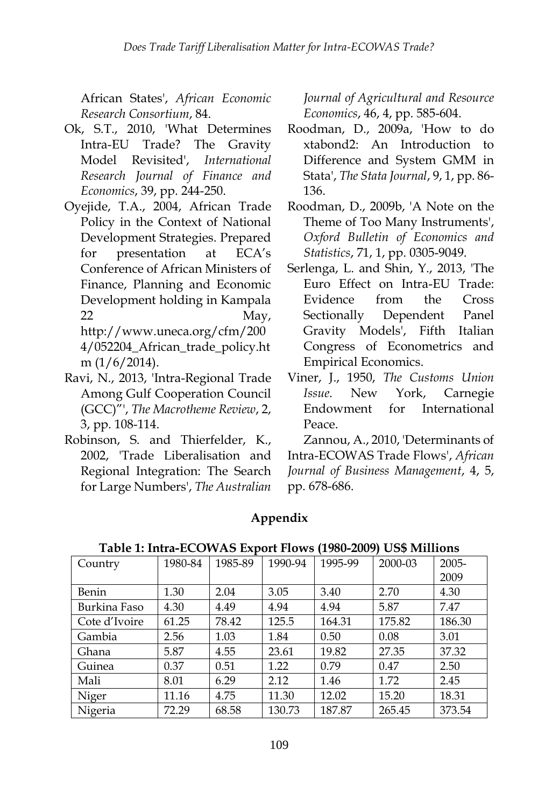African States', *African Economic Research Consortium*, 84.

- Ok, S.T., 2010, 'What Determines Intra-EU Trade? The Gravity Model Revisited', *International Research Journal of Finance and Economics*, 39, pp. 244-250.
- Oyejide, T.A., 2004, African Trade Policy in the Context of National Development Strategies. Prepared for presentation at ECA's Conference of African Ministers of Finance, Planning and Economic Development holding in Kampala 22 May,

http://www.uneca.org/cfm/200 4/052204\_African\_trade\_policy.ht m  $(1/6/2014)$ .

- Ravi, N., 2013, 'Intra-Regional Trade Among Gulf Cooperation Council (GCC)"', *The Macrotheme Review*, 2, 3, pp. 108-114.
- Robinson, S. and Thierfelder, K., 2002, 'Trade Liberalisation and Regional Integration: The Search for Large Numbers', *The Australian*

*Journal of Agricultural and Resource Economics*, 46, 4, pp. 585-604.

- Roodman, D., 2009a, 'How to do xtabond2: An Introduction to Difference and System GMM in Stata', *The Stata Journal*, 9, 1, pp. 86- 136.
- Roodman, D., 2009b, 'A Note on the Theme of Too Many Instruments', *Oxford Bulletin of Economics and Statistics*, 71, 1, pp. 0305-9049.
- Serlenga, L. and Shin, Y., 2013, 'The Euro Effect on Intra-EU Trade: Evidence from the Cross Sectionally Dependent Panel Gravity Models', Fifth Italian Congress of Econometrics and Empirical Economics.
- Viner, J., 1950, *The Customs Union Issue*. New York, Carnegie Endowment for International Peace.

Zannou, A., 2010, 'Determinants of Intra-ECOWAS Trade Flows', *African Journal of Business Management*, 4, 5, pp. 678-686.

# **Appendix**

| Country       | 1980-84 | 1985-89 | 1990-94 | 1995-99 | 2000-03 | 2005-  |
|---------------|---------|---------|---------|---------|---------|--------|
|               |         |         |         |         |         | 2009   |
| Benin         | 1.30    | 2.04    | 3.05    | 3.40    | 2.70    | 4.30   |
| Burkina Faso  | 4.30    | 4.49    | 4.94    | 4.94    | 5.87    | 7.47   |
| Cote d'Ivoire | 61.25   | 78.42   | 125.5   | 164.31  | 175.82  | 186.30 |
| Gambia        | 2.56    | 1.03    | 1.84    | 0.50    | 0.08    | 3.01   |
| Ghana         | 5.87    | 4.55    | 23.61   | 19.82   | 27.35   | 37.32  |
| Guinea        | 0.37    | 0.51    | 1.22    | 0.79    | 0.47    | 2.50   |
| Mali          | 8.01    | 6.29    | 2.12    | 1.46    | 1.72    | 2.45   |
| Niger         | 11.16   | 4.75    | 11.30   | 12.02   | 15.20   | 18.31  |
| Nigeria       | 72.29   | 68.58   | 130.73  | 187.87  | 265.45  | 373.54 |

**Table 1: Intra-ECOWAS Export Flows (1980-2009) US\$ Millions**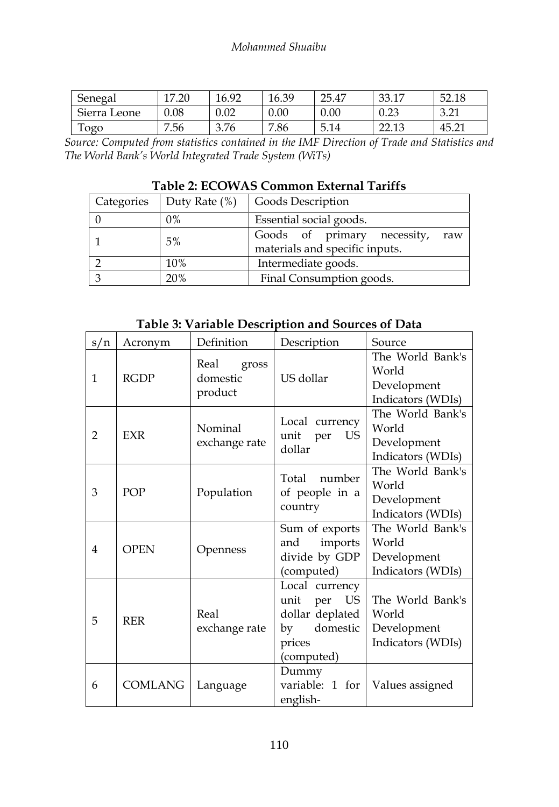| Senegal      | 17.20 | 16.92 | 16.39 | 25.47 | 33.17         | 52.18                        |
|--------------|-------|-------|-------|-------|---------------|------------------------------|
| Sierra Leone | 0.08  | 0.02  | 0.00  | 0.00  | 0.23          | $\Omega$ $\Omega$ 1<br>⊥ ک.د |
| Togo         | 7.56  | 3.76  | 7.86  | 5.14  | 2212<br>44.IJ | 45.21                        |

*Source: Computed from statistics contained in the IMF Direction of Trade and Statistics and The World Bank's World Integrated Trade System (WiTs)* 

| Table 2: ECOWAS Common External Tariffs |  |  |
|-----------------------------------------|--|--|
|-----------------------------------------|--|--|

|       | Categories   Duty Rate (%)   Goods Description                       |  |  |
|-------|----------------------------------------------------------------------|--|--|
| $0\%$ | Essential social goods.                                              |  |  |
| 5%    | Goods of primary necessity,<br>raw<br>materials and specific inputs. |  |  |
| 10%   | Intermediate goods.                                                  |  |  |
| 20%   | Final Consumption goods.                                             |  |  |

**Table 3: Variable Description and Sources of Data**

| s/n            | Acronym        | Definition                           | Description                                                                                   | Source                                                        |
|----------------|----------------|--------------------------------------|-----------------------------------------------------------------------------------------------|---------------------------------------------------------------|
| 1              | <b>RGDP</b>    | Real<br>gross<br>domestic<br>product | US dollar                                                                                     | The World Bank's<br>World<br>Development<br>Indicators (WDIs) |
| $\overline{2}$ | <b>EXR</b>     | Nominal<br>exchange rate             | Local currency<br>US<br>unit per<br>dollar                                                    | The World Bank's<br>World<br>Development<br>Indicators (WDIs) |
| 3              | POP            | Population                           | Total number<br>of people in a<br>country                                                     | The World Bank's<br>World<br>Development<br>Indicators (WDIs) |
| $\overline{4}$ | <b>OPEN</b>    | Openness                             | Sum of exports<br>imports<br>and<br>divide by GDP<br>(computed)                               | The World Bank's<br>World<br>Development<br>Indicators (WDIs) |
| 5              | <b>RER</b>     | Real<br>exchange rate                | Local currency<br>US<br>unit per<br>dollar deplated<br>domestic<br>by<br>prices<br>(computed) | The World Bank's<br>World<br>Development<br>Indicators (WDIs) |
| 6              | <b>COMLANG</b> | Language                             | Dummy<br>variable: 1 for<br>english-                                                          | Values assigned                                               |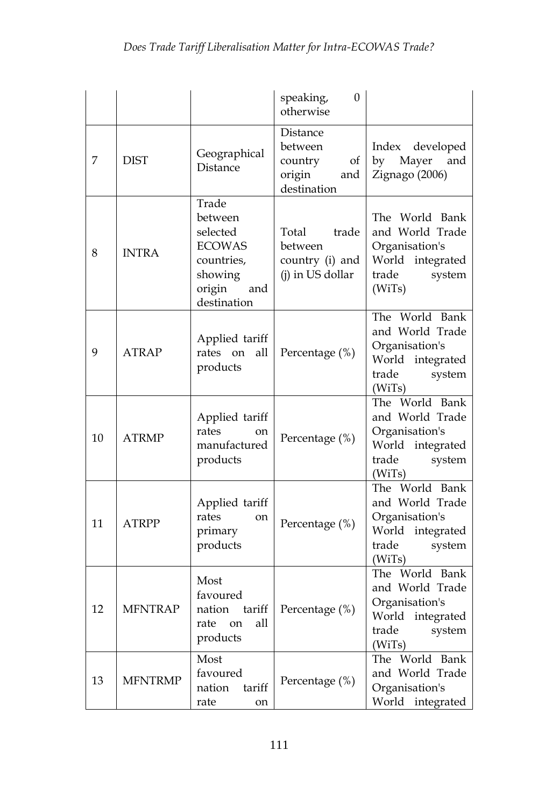|    |                |                                                                                                        | $\mathbf{0}$<br>speaking,<br>otherwise                               |                                                                                                         |
|----|----------------|--------------------------------------------------------------------------------------------------------|----------------------------------------------------------------------|---------------------------------------------------------------------------------------------------------|
| 7  | <b>DIST</b>    | Geographical<br>Distance                                                                               | Distance<br>between<br>of<br>country<br>origin<br>and<br>destination | Index<br>developed<br>by<br>Mayer<br>and<br>Zignago (2006)                                              |
| 8  | <b>INTRA</b>   | Trade<br>between<br>selected<br><b>ECOWAS</b><br>countries,<br>showing<br>origin<br>and<br>destination | trade<br>Total<br>between<br>country (i) and<br>(j) in US dollar     | The World Bank<br>and World Trade<br>Organisation's<br>World integrated<br>trade<br>system<br>(WiTs)    |
| 9  | <b>ATRAP</b>   | Applied tariff<br>rates on<br>all<br>products                                                          | Percentage (%)                                                       | The World Bank<br>and World Trade<br>Organisation's<br>World integrated<br>trade<br>system<br>(WiTs)    |
| 10 | <b>ATRMP</b>   | Applied tariff<br>rates<br>on<br>manufactured<br>products                                              | Percentage (%)                                                       | The World Bank<br>and World Trade<br>Organisation's<br>World integrated<br>trade<br>system<br>(WiTs)    |
| 11 | <b>ATRPP</b>   | Applied tariff<br>rates<br><sub>on</sub><br>primary<br>products                                        | Percentage (%)                                                       | The World Bank<br>and World Trade<br>Organisation's<br>World integrated<br>trade<br>system<br>(WiTs)    |
| 12 | <b>MFNTRAP</b> | Most<br>favoured<br>tariff<br>nation<br>all<br>rate<br>on<br>products                                  | Percentage (%)                                                       | The World Bank<br>and World Trade<br>Organisation's<br>World<br>integrated<br>trade<br>system<br>(WiTs) |
| 13 | <b>MFNTRMP</b> | Most<br>favoured<br>nation<br>tariff<br>rate<br>on                                                     | Percentage (%)                                                       | The World Bank<br>and World Trade<br>Organisation's<br>World integrated                                 |